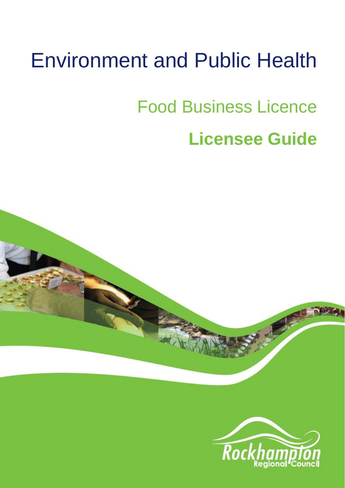# Environment and Public Health

# Food Business Licence

## **Licensee Guide**



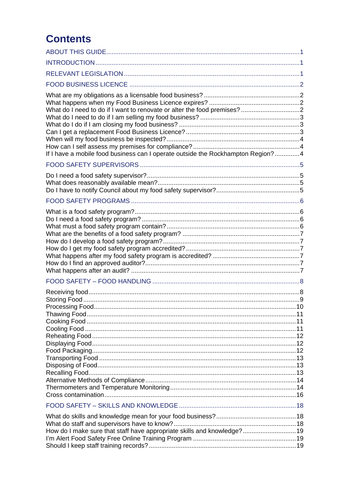### **Contents**

| If I have a mobile food business can I operate outside the Rockhampton Region?4 |  |
|---------------------------------------------------------------------------------|--|
|                                                                                 |  |
|                                                                                 |  |
|                                                                                 |  |
|                                                                                 |  |
|                                                                                 |  |
|                                                                                 |  |
|                                                                                 |  |
|                                                                                 |  |
|                                                                                 |  |
|                                                                                 |  |
|                                                                                 |  |
|                                                                                 |  |
| How do I make sure that staff have appropriate skills and knowledge?19          |  |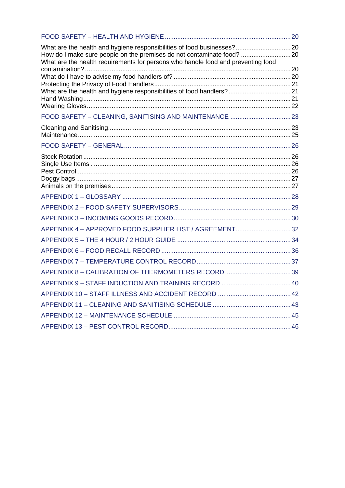| What are the health and hygiene responsibilities of food businesses? 20<br>How do I make sure people on the premises do not contaminate food?  20<br>What are the health requirements for persons who handle food and preventing food |  |
|---------------------------------------------------------------------------------------------------------------------------------------------------------------------------------------------------------------------------------------|--|
|                                                                                                                                                                                                                                       |  |
|                                                                                                                                                                                                                                       |  |
|                                                                                                                                                                                                                                       |  |
|                                                                                                                                                                                                                                       |  |
|                                                                                                                                                                                                                                       |  |
|                                                                                                                                                                                                                                       |  |
|                                                                                                                                                                                                                                       |  |
|                                                                                                                                                                                                                                       |  |
|                                                                                                                                                                                                                                       |  |
| APPENDIX 4 - APPROVED FOOD SUPPLIER LIST / AGREEMENT32                                                                                                                                                                                |  |
|                                                                                                                                                                                                                                       |  |
|                                                                                                                                                                                                                                       |  |
|                                                                                                                                                                                                                                       |  |
|                                                                                                                                                                                                                                       |  |
|                                                                                                                                                                                                                                       |  |
|                                                                                                                                                                                                                                       |  |
|                                                                                                                                                                                                                                       |  |
|                                                                                                                                                                                                                                       |  |
|                                                                                                                                                                                                                                       |  |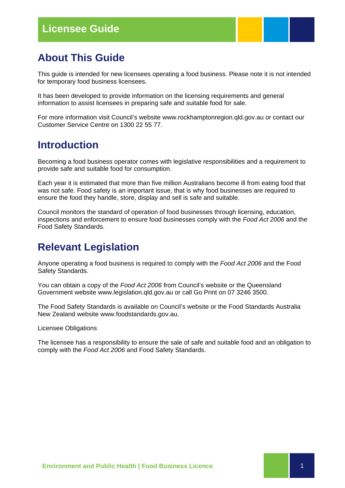### **About This Guide**

This guide is intended for new licensees operating a food business. Please note it is not intended for temporary food business licensees.

It has been developed to provide information on the licensing requirements and general information to assist licensees in preparing safe and suitable food for sale.

For more information visit Council's website www.rockhamptonregion.qld.gov.au or contact our Customer Service Centre on 1300 22 55 77.

### **Introduction**

Becoming a food business operator comes with legislative responsibilities and a requirement to provide safe and suitable food for consumption.

Each year it is estimated that more than five million Australians become ill from eating food that was not safe. Food safety is an important issue, that is why food businesses are required to ensure the food they handle, store, display and sell is safe and suitable.

Council monitors the standard of operation of food businesses through licensing, education, inspections and enforcement to ensure food businesses comply with the *Food Act 2006* and the Food Safety Standards.

### **Relevant Legislation**

Anyone operating a food business is required to comply with the *Food Act 2006* and the Food Safety Standards.

You can obtain a copy of the *Food Act 2006* from Council's website or the Queensland Government website www.legislation.qld.gov.au or call Go Print on 07 3246 3500.

The Food Safety Standards is available on Council's website or the Food Standards Australia New Zealand website www.foodstandards.gov.au.

Licensee Obligations

The licensee has a responsibility to ensure the sale of safe and suitable food and an obligation to comply with the *Food Act 2006* and Food Safety Standards.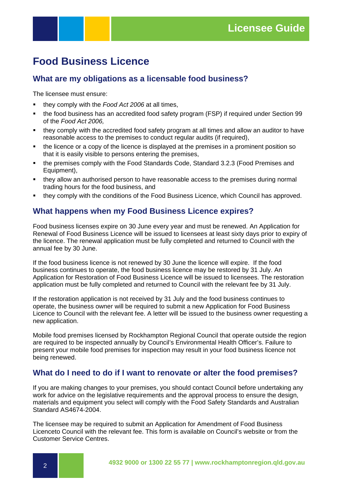### **Food Business Licence**

### **What are my obligations as a licensable food business?**

The licensee must ensure:

- they comply with the *Food Act 2006* at all times,
- the food business has an accredited food safety program (FSP) if required under Section 99 of the *Food Act 2006,*
- they comply with the accredited food safety program at all times and allow an auditor to have reasonable access to the premises to conduct regular audits (if required),
- the licence or a copy of the licence is displayed at the premises in a prominent position so that it is easily visible to persons entering the premises,
- the premises comply with the Food Standards Code, Standard 3.2.3 (Food Premises and Equipment),
- they allow an authorised person to have reasonable access to the premises during normal trading hours for the food business, and
- they comply with the conditions of the Food Business Licence, which Council has approved.

### **What happens when my Food Business Licence expires?**

Food business licenses expire on 30 June every year and must be renewed. An Application for Renewal of Food Business Licence will be issued to licensees at least sixty days prior to expiry of the licence. The renewal application must be fully completed and returned to Council with the annual fee by 30 June.

If the food business licence is not renewed by 30 June the licence will expire. If the food business continues to operate, the food business licence may be restored by 31 July. An Application for Restoration of Food Business Licence will be issued to licensees. The restoration application must be fully completed and returned to Council with the relevant fee by 31 July.

If the restoration application is not received by 31 July and the food business continues to operate, the business owner will be required to submit a new Application for Food Business Licence to Council with the relevant fee. A letter will be issued to the business owner requesting a new application.

Mobile food premises licensed by Rockhampton Regional Council that operate outside the region are required to be inspected annually by Council's Environmental Health Officer's. Failure to present your mobile food premises for inspection may result in your food business licence not being renewed.

### **What do I need to do if I want to renovate or alter the food premises?**

If you are making changes to your premises, you should contact Council before undertaking any work for advice on the legislative requirements and the approval process to ensure the design, materials and equipment you select will comply with the Food Safety Standards and Australian Standard AS4674-2004.

The licensee may be required to submit an Application for Amendment of Food Business Licenceto Council with the relevant fee. This form is available on Council's website or from the Customer Service Centres.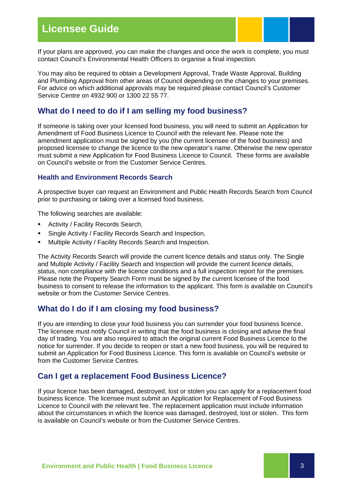### **Licensee Guide**



If your plans are approved, you can make the changes and once the work is complete, you must contact Council's Environmental Health Officers to organise a final inspection.

You may also be required to obtain a Development Approval, Trade Waste Approval, Building and Plumbing Approval from other areas of Council depending on the changes to your premises. For advice on which additional approvals may be required please contact Council's Customer Service Centre on 4932 900 or 1300 22 55 77.

### **What do I need to do if I am selling my food business?**

If someone is taking over your licensed food business, you will need to submit an Application for Amendment of Food Business Licence to Council with the relevant fee. Please note the amendment application must be signed by you (the current licensee of the food business) and proposed licensee to change the licence to the new operator's name. Otherwise the new operator must submit a new Application for Food Business Licence to Council. These forms are available on Council's website or from the Customer Service Centres.

### **Health and Environment Records Search**

A prospective buyer can request an Environment and Public Health Records Search from Council prior to purchasing or taking over a licensed food business.

The following searches are available:

- **Activity / Facility Records Search,**
- **Single Activity / Facility Records Search and Inspection,**
- Multiple Activity / Facility Records Search and Inspection.

The Activity Records Search will provide the current licence details and status only. The Single and Multiple Activity / Facility Search and Inspection will provide the current licence details, status, non compliance with the licence conditions and a full inspection report for the premises. Please note the Property Search Form must be signed by the current licensee of the food business to consent to release the information to the applicant. This form is available on Council's website or from the Customer Service Centres.

### **What do I do if I am closing my food business?**

If you are intending to close your food business you can surrender your food business licence. The licensee must notify Council in writing that the food business is closing and advise the final day of trading. You are also required to attach the original current Food Business Licence to the notice for surrender. If you decide to reopen or start a new food business, you will be required to submit an Application for Food Business Licence. This form is available on Council's website or from the Customer Service Centres.

### **Can I get a replacement Food Business Licence?**

If your licence has been damaged, destroyed, lost or stolen you can apply for a replacement food business licence. The licensee must submit an Application for Replacement of Food Business Licence to Council with the relevant fee. The replacement application must include information about the circumstances in which the licence was damaged, destroyed, lost or stolen. This form is available on Council's website or from the Customer Service Centres.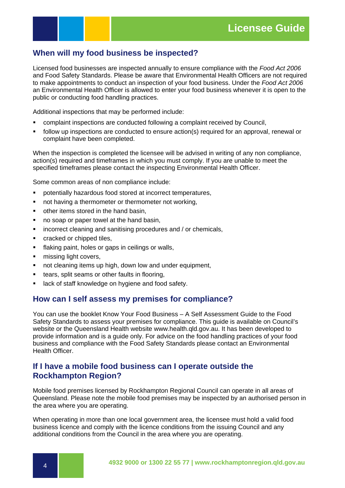

### **When will my food business be inspected?**

Licensed food businesses are inspected annually to ensure compliance with the *Food Act 2006* and Food Safety Standards. Please be aware that Environmental Health Officers are not required to make appointments to conduct an inspection of your food business. Under the *Food Act 2006* an Environmental Health Officer is allowed to enter your food business whenever it is open to the public or conducting food handling practices.

Additional inspections that may be performed include:

- complaint inspections are conducted following a complaint received by Council,
- follow up inspections are conducted to ensure action(s) required for an approval, renewal or complaint have been completed.

When the inspection is completed the licensee will be advised in writing of any non compliance, action(s) required and timeframes in which you must comply. If you are unable to meet the specified timeframes please contact the inspecting Environmental Health Officer.

Some common areas of non compliance include:

- potentially hazardous food stored at incorrect temperatures,
- not having a thermometer or thermometer not working,
- **•** other items stored in the hand basin,
- no soap or paper towel at the hand basin,
- **EXEDENT INCOTE CONTINGLY** incorrect cleaning and sanitising procedures and / or chemicals,
- cracked or chipped tiles.
- **flaking paint, holes or gaps in ceilings or walls,**
- $\blacksquare$  missing light covers,
- **not cleaning items up high, down low and under equipment,**
- **tears, split seams or other faults in flooring,**
- **EXEC** lack of staff knowledge on hygiene and food safety.

### **How can I self assess my premises for compliance?**

You can use the booklet Know Your Food Business – A Self Assessment Guide to the Food Safety Standards to assess your premises for compliance. This guide is available on Council's website or the Queensland Health website www.health.qld.gov.au. It has been developed to provide information and is a guide only. For advice on the food handling practices of your food business and compliance with the Food Safety Standards please contact an Environmental Health Officer.

### **If I have a mobile food business can I operate outside the Rockhampton Region?**

Mobile food premises licensed by Rockhampton Regional Council can operate in all areas of Queensland. Please note the mobile food premises may be inspected by an authorised person in the area where you are operating.

When operating in more than one local government area, the licensee must hold a valid food business licence and comply with the licence conditions from the issuing Council and any additional conditions from the Council in the area where you are operating.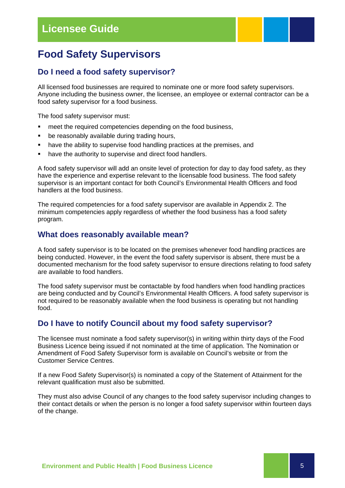### **Food Safety Supervisors**

### **Do I need a food safety supervisor?**

All licensed food businesses are required to nominate one or more food safety supervisors. Anyone including the business owner, the licensee, an employee or external contractor can be a food safety supervisor for a food business.

The food safety supervisor must:

- **F** meet the required competencies depending on the food business,
- **•** be reasonably available during trading hours,
- have the ability to supervise food handling practices at the premises, and
- have the authority to supervise and direct food handlers.

A food safety supervisor will add an onsite level of protection for day to day food safety, as they have the experience and expertise relevant to the licensable food business. The food safety supervisor is an important contact for both Council's Environmental Health Officers and food handlers at the food business.

The required competencies for a food safety supervisor are available in Appendix 2. The minimum competencies apply regardless of whether the food business has a food safety program.

### **What does reasonably available mean?**

A food safety supervisor is to be located on the premises whenever food handling practices are being conducted. However, in the event the food safety supervisor is absent, there must be a documented mechanism for the food safety supervisor to ensure directions relating to food safety are available to food handlers.

The food safety supervisor must be contactable by food handlers when food handling practices are being conducted and by Council's Environmental Health Officers. A food safety supervisor is not required to be reasonably available when the food business is operating but not handling food.

### **Do I have to notify Council about my food safety supervisor?**

The licensee must nominate a food safety supervisor(s) in writing within thirty days of the Food Business Licence being issued if not nominated at the time of application. The Nomination or Amendment of Food Safety Supervisor form is available on Council's website or from the Customer Service Centres.

If a new Food Safety Supervisor(s) is nominated a copy of the Statement of Attainment for the relevant qualification must also be submitted.

They must also advise Council of any changes to the food safety supervisor including changes to their contact details or when the person is no longer a food safety supervisor within fourteen days of the change.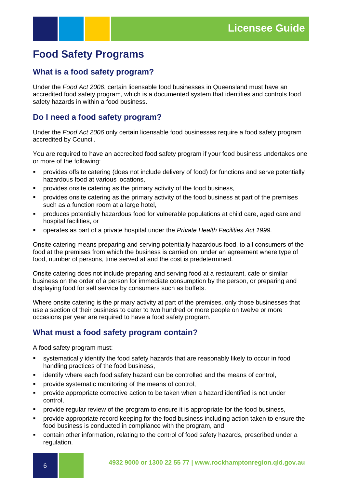### **Food Safety Programs**

### **What is a food safety program?**

Under the *Food Act 2006*, certain licensable food businesses in Queensland must have an accredited food safety program, which is a documented system that identifies and controls food safety hazards in within a food business.

### **Do I need a food safety program?**

Under the *Food Act 2006* only certain licensable food businesses require a food safety program accredited by Council.

You are required to have an accredited food safety program if your food business undertakes one or more of the following:

- provides offsite catering (does not include delivery of food) for functions and serve potentially hazardous food at various locations,
- **•** provides onsite catering as the primary activity of the food business,
- **•** provides onsite catering as the primary activity of the food business at part of the premises such as a function room at a large hotel.
- produces potentially hazardous food for vulnerable populations at child care, aged care and hospital facilities, or
- operates as part of a private hospital under the *Private Health Facilities Act 1999.*

Onsite catering means preparing and serving potentially hazardous food, to all consumers of the food at the premises from which the business is carried on, under an agreement where type of food, number of persons, time served at and the cost is predetermined.

Onsite catering does not include preparing and serving food at a restaurant, cafe or similar business on the order of a person for immediate consumption by the person, or preparing and displaying food for self service by consumers such as buffets.

Where onsite catering is the primary activity at part of the premises, only those businesses that use a section of their business to cater to two hundred or more people on twelve or more occasions per year are required to have a food safety program.

### **What must a food safety program contain?**

A food safety program must:

- systematically identify the food safety hazards that are reasonably likely to occur in food handling practices of the food business,
- identify where each food safety hazard can be controlled and the means of control,
- provide systematic monitoring of the means of control,
- provide appropriate corrective action to be taken when a hazard identified is not under control,
- **Perovide regular review of the program to ensure it is appropriate for the food business,**
- provide appropriate record keeping for the food business including action taken to ensure the food business is conducted in compliance with the program, and
- contain other information, relating to the control of food safety hazards, prescribed under a regulation.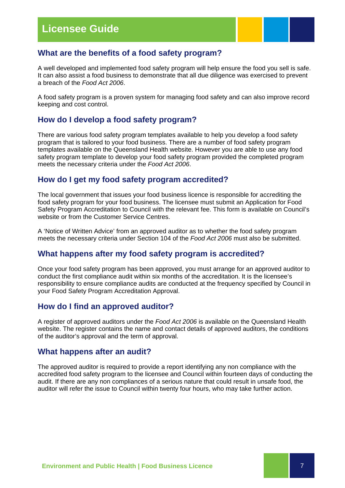### **What are the benefits of a food safety program?**

A well developed and implemented food safety program will help ensure the food you sell is safe. It can also assist a food business to demonstrate that all due diligence was exercised to prevent a breach of the *Food Act 2006*.

A food safety program is a proven system for managing food safety and can also improve record keeping and cost control.

### **How do I develop a food safety program?**

There are various food safety program templates available to help you develop a food safety program that is tailored to your food business. There are a number of food safety program templates available on the Queensland Health website. However you are able to use any food safety program template to develop your food safety program provided the completed program meets the necessary criteria under the *Food Act 2006*.

### **How do I get my food safety program accredited?**

The local government that issues your food business licence is responsible for accrediting the food safety program for your food business. The licensee must submit an Application for Food Safety Program Accreditation to Council with the relevant fee. This form is available on Council's website or from the Customer Service Centres.

A 'Notice of Written Advice' from an approved auditor as to whether the food safety program meets the necessary criteria under Section 104 of the *Food Act 2006* must also be submitted.

### **What happens after my food safety program is accredited?**

Once your food safety program has been approved, you must arrange for an approved auditor to conduct the first compliance audit within six months of the accreditation. It is the licensee's responsibility to ensure compliance audits are conducted at the frequency specified by Council in your Food Safety Program Accreditation Approval.

### **How do I find an approved auditor?**

A register of approved auditors under the *Food Act 2006* is available on the Queensland Health website. The register contains the name and contact details of approved auditors, the conditions of the auditor's approval and the term of approval.

### **What happens after an audit?**

The approved auditor is required to provide a report identifying any non compliance with the accredited food safety program to the licensee and Council within fourteen days of conducting the audit. If there are any non compliances of a serious nature that could result in unsafe food, the auditor will refer the issue to Council within twenty four hours, who may take further action.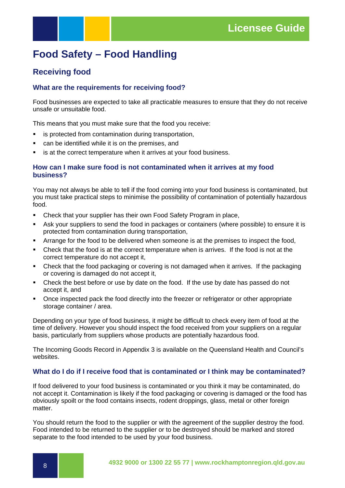### **Food Safety – Food Handling**

### **Receiving food**

### **What are the requirements for receiving food?**

Food businesses are expected to take all practicable measures to ensure that they do not receive unsafe or unsuitable food.

This means that you must make sure that the food you receive:

- **EXECT** is protected from contamination during transportation,
- can be identified while it is on the premises, and
- **EXTERN** is at the correct temperature when it arrives at your food business.

### **How can I make sure food is not contaminated when it arrives at my food business?**

You may not always be able to tell if the food coming into your food business is contaminated, but you must take practical steps to minimise the possibility of contamination of potentially hazardous food.

- Check that your supplier has their own Food Safety Program in place,
- Ask your suppliers to send the food in packages or containers (where possible) to ensure it is protected from contamination during transportation,
- Arrange for the food to be delivered when someone is at the premises to inspect the food,
- Check that the food is at the correct temperature when is arrives. If the food is not at the correct temperature do not accept it,
- Check that the food packaging or covering is not damaged when it arrives. If the packaging or covering is damaged do not accept it,
- Check the best before or use by date on the food. If the use by date has passed do not accept it, and
- Once inspected pack the food directly into the freezer or refrigerator or other appropriate storage container / area.

Depending on your type of food business, it might be difficult to check every item of food at the time of delivery. However you should inspect the food received from your suppliers on a regular basis, particularly from suppliers whose products are potentially hazardous food.

The Incoming Goods Record in Appendix 3 is available on the Queensland Health and Council's websites.

### **What do I do if I receive food that is contaminated or I think may be contaminated?**

If food delivered to your food business is contaminated or you think it may be contaminated, do not accept it. Contamination is likely if the food packaging or covering is damaged or the food has obviously spoilt or the food contains insects, rodent droppings, glass, metal or other foreign matter.

You should return the food to the supplier or with the agreement of the supplier destroy the food. Food intended to be returned to the supplier or to be destroyed should be marked and stored separate to the food intended to be used by your food business.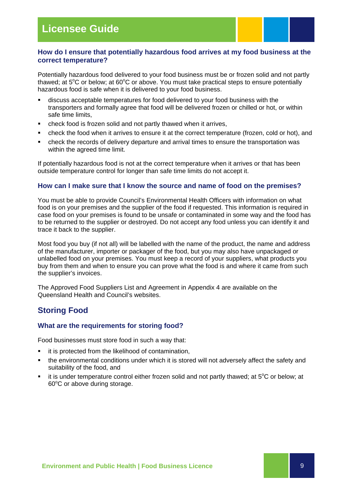### **How do I ensure that potentially hazardous food arrives at my food business at the correct temperature?**

Potentially hazardous food delivered to your food business must be or frozen solid and not partly thawed; at  $5^{\circ}$ C or below; at  $60^{\circ}$ C or above. You must take practical steps to ensure potentially hazardous food is safe when it is delivered to your food business.

- discuss acceptable temperatures for food delivered to your food business with the transporters and formally agree that food will be delivered frozen or chilled or hot, or within safe time limits,
- check food is frozen solid and not partly thawed when it arrives,
- check the food when it arrives to ensure it at the correct temperature (frozen, cold or hot), and
- check the records of delivery departure and arrival times to ensure the transportation was within the agreed time limit.

If potentially hazardous food is not at the correct temperature when it arrives or that has been outside temperature control for longer than safe time limits do not accept it.

#### **How can I make sure that I know the source and name of food on the premises?**

You must be able to provide Council's Environmental Health Officers with information on what food is on your premises and the supplier of the food if requested. This information is required in case food on your premises is found to be unsafe or contaminated in some way and the food has to be returned to the supplier or destroyed. Do not accept any food unless you can identify it and trace it back to the supplier.

Most food you buy (if not all) will be labelled with the name of the product, the name and address of the manufacturer, importer or packager of the food, but you may also have unpackaged or unlabelled food on your premises. You must keep a record of your suppliers, what products you buy from them and when to ensure you can prove what the food is and where it came from such the supplier's invoices.

The Approved Food Suppliers List and Agreement in Appendix 4 are available on the Queensland Health and Council's websites.

### **Storing Food**

#### **What are the requirements for storing food?**

Food businesses must store food in such a way that:

- **i** it is protected from the likelihood of contamination,
- the environmental conditions under which it is stored will not adversely affect the safety and suitability of the food, and
- $\blacksquare$  it is under temperature control either frozen solid and not partly thawed; at  $5^{\circ}$ C or below; at 60°C or above during storage.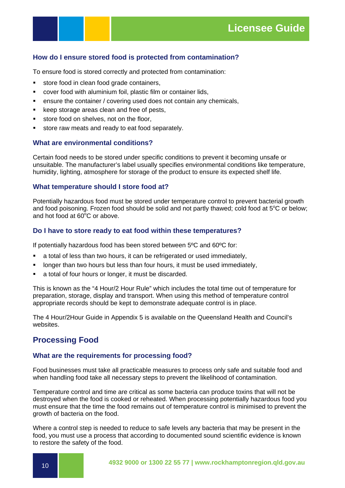### **How do I ensure stored food is protected from contamination?**

To ensure food is stored correctly and protected from contamination:

- store food in clean food grade containers,
- cover food with aluminium foil, plastic film or container lids,
- ensure the container / covering used does not contain any chemicals,
- **EXECTE ATTE:** keep storage areas clean and free of pests,
- store food on shelves, not on the floor,
- store raw meats and ready to eat food separately.

### **What are environmental conditions?**

Certain food needs to be stored under specific conditions to prevent it becoming unsafe or unsuitable. The manufacturer's label usually specifies environmental conditions like temperature, humidity, lighting, atmosphere for storage of the product to ensure its expected shelf life.

#### **What temperature should I store food at?**

Potentially hazardous food must be stored under temperature control to prevent bacterial growth and food poisoning. Frozen food should be solid and not partly thawed; cold food at  $5^{\circ}$ C or below; and hot food at  $60^{\circ}$ C or above.

#### **Do I have to store ready to eat food within these temperatures?**

If potentially hazardous food has been stored between 5ºC and 60ºC for:

- a total of less than two hours, it can be refrigerated or used immediately,
- **IDED 10.5 IDED 10.5 IDED 10.5 IDED** 10.4 IDED in longer than two hours, it must be used immediately,
- a total of four hours or longer, it must be discarded.

This is known as the "4 Hour/2 Hour Rule" which includes the total time out of temperature for preparation, storage, display and transport. When using this method of temperature control appropriate records should be kept to demonstrate adequate control is in place.

The 4 Hour/2Hour Guide in Appendix 5 is available on the Queensland Health and Council's websites.

### **Processing Food**

#### **What are the requirements for processing food?**

Food businesses must take all practicable measures to process only safe and suitable food and when handling food take all necessary steps to prevent the likelihood of contamination.

Temperature control and time are critical as some bacteria can produce toxins that will not be destroyed when the food is cooked or reheated. When processing potentially hazardous food you must ensure that the time the food remains out of temperature control is minimised to prevent the growth of bacteria on the food.

Where a control step is needed to reduce to safe levels any bacteria that may be present in the food, you must use a process that according to documented sound scientific evidence is known to restore the safety of the food.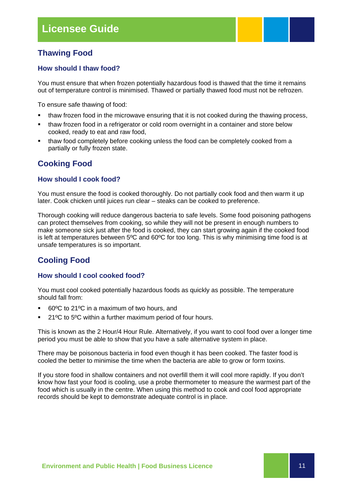### **Thawing Food**

### **How should I thaw food?**

You must ensure that when frozen potentially hazardous food is thawed that the time it remains out of temperature control is minimised. Thawed or partially thawed food must not be refrozen.

To ensure safe thawing of food:

- thaw frozen food in the microwave ensuring that it is not cooked during the thawing process,
- thaw frozen food in a refrigerator or cold room overnight in a container and store below cooked, ready to eat and raw food,
- thaw food completely before cooking unless the food can be completely cooked from a partially or fully frozen state.

### **Cooking Food**

### **How should I cook food?**

You must ensure the food is cooked thoroughly. Do not partially cook food and then warm it up later. Cook chicken until juices run clear – steaks can be cooked to preference.

Thorough cooking will reduce dangerous bacteria to safe levels. Some food poisoning pathogens can protect themselves from cooking, so while they will not be present in enough numbers to make someone sick just after the food is cooked, they can start growing again if the cooked food is left at temperatures between 5ºC and 60ºC for too long. This is why minimising time food is at unsafe temperatures is so important.

### **Cooling Food**

### **How should I cool cooked food?**

You must cool cooked potentially hazardous foods as quickly as possible. The temperature should fall from:

- 60ºC to 21ºC in a maximum of two hours, and
- 21ºC to 5ºC within a further maximum period of four hours.

This is known as the 2 Hour/4 Hour Rule. Alternatively, if you want to cool food over a longer time period you must be able to show that you have a safe alternative system in place.

There may be poisonous bacteria in food even though it has been cooked. The faster food is cooled the better to minimise the time when the bacteria are able to grow or form toxins.

If you store food in shallow containers and not overfill them it will cool more rapidly. If you don't know how fast your food is cooling, use a probe thermometer to measure the warmest part of the food which is usually in the centre. When using this method to cook and cool food appropriate records should be kept to demonstrate adequate control is in place.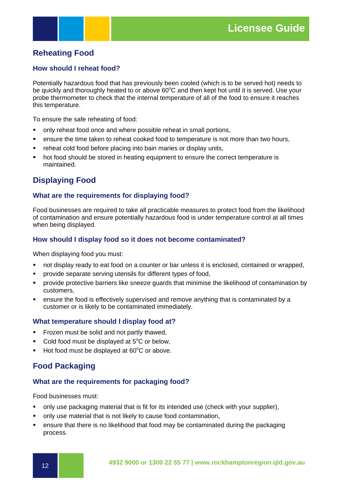### **Reheating Food**

### **How should I reheat food?**

Potentially hazardous food that has previously been cooled (which is to be served hot) needs to be quickly and thoroughly heated to or above 60°C and then kept hot until it is served. Use your probe thermometer to check that the internal temperature of all of the food to ensure it reaches this temperature.

To ensure the safe reheating of food:

- only reheat food once and where possible reheat in small portions,
- **EXECT** ensure the time taken to reheat cooked food to temperature is not more than two hours,
- **F** reheat cold food before placing into bain maries or display units,
- **•** hot food should be stored in heating equipment to ensure the correct temperature is maintained.

### **Displaying Food**

### **What are the requirements for displaying food?**

Food businesses are required to take all practicable measures to protect food from the likelihood of contamination and ensure potentially hazardous food is under temperature control at all times when being displayed.

#### **How should I display food so it does not become contaminated?**

When displaying food you must:

- not display ready to eat food on a counter or bar unless it is enclosed, contained or wrapped,
- provide separate serving utensils for different types of food,
- provide protective barriers like sneeze guards that minimise the likelihood of contamination by customers,
- ensure the food is effectively supervised and remove anything that is contaminated by a customer or is likely to be contaminated immediately.

#### **What temperature should I display food at?**

- Frozen must be solid and not partly thawed,
- Cold food must be displayed at  $5^{\circ}$ C or below,
- Hot food must be displayed at 60°C or above.

### **Food Packaging**

### **What are the requirements for packaging food?**

Food businesses must:

- only use packaging material that is fit for its intended use (check with your supplier),
- only use material that is not likely to cause food contamination,
- ensure that there is no likelihood that food may be contaminated during the packaging process.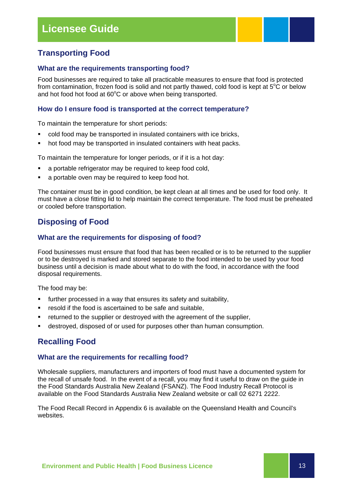### **Transporting Food**

### **What are the requirements transporting food?**

Food businesses are required to take all practicable measures to ensure that food is protected from contamination, frozen food is solid and not partly thawed, cold food is kept at  $5^{\circ}$ C or below and hot food hot food at 60°C or above when being transported.

### **How do I ensure food is transported at the correct temperature?**

To maintain the temperature for short periods:

- cold food may be transported in insulated containers with ice bricks,
- hot food may be transported in insulated containers with heat packs.

To maintain the temperature for longer periods, or if it is a hot day:

- **a** a portable refrigerator may be required to keep food cold,
- **a** portable oven may be required to keep food hot.

The container must be in good condition, be kept clean at all times and be used for food only. It must have a close fitting lid to help maintain the correct temperature. The food must be preheated or cooled before transportation.

### **Disposing of Food**

### **What are the requirements for disposing of food?**

Food businesses must ensure that food that has been recalled or is to be returned to the supplier or to be destroyed is marked and stored separate to the food intended to be used by your food business until a decision is made about what to do with the food, in accordance with the food disposal requirements.

The food may be:

- further processed in a way that ensures its safety and suitability,
- **F** resold if the food is ascertained to be safe and suitable,
- returned to the supplier or destroyed with the agreement of the supplier,
- destroyed, disposed of or used for purposes other than human consumption.

### **Recalling Food**

#### **What are the requirements for recalling food?**

Wholesale suppliers, manufacturers and importers of food must have a documented system for the recall of unsafe food. In the event of a recall, you may find it useful to draw on the guide in the Food Standards Australia New Zealand (FSANZ). The Food Industry Recall Protocol is available on the Food Standards Australia New Zealand website or call 02 6271 2222.

The Food Recall Record in Appendix 6 is available on the Queensland Health and Council's websites.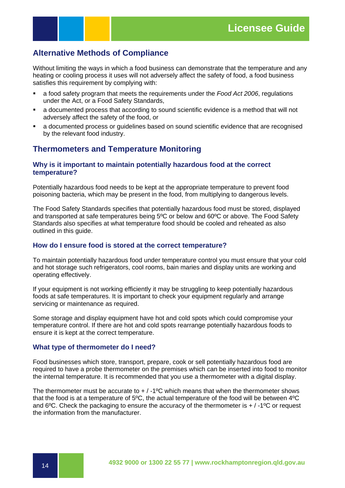### **Alternative Methods of Compliance**

Without limiting the ways in which a food business can demonstrate that the temperature and any heating or cooling process it uses will not adversely affect the safety of food, a food business satisfies this requirement by complying with:

- a food safety program that meets the requirements under the *Food Act 2006*, regulations under the Act, or a Food Safety Standards,
- a documented process that according to sound scientific evidence is a method that will not adversely affect the safety of the food, or
- a documented process or guidelines based on sound scientific evidence that are recognised by the relevant food industry.

### **Thermometers and Temperature Monitoring**

### **Why is it important to maintain potentially hazardous food at the correct temperature?**

Potentially hazardous food needs to be kept at the appropriate temperature to prevent food poisoning bacteria, which may be present in the food, from multiplying to dangerous levels.

The Food Safety Standards specifies that potentially hazardous food must be stored, displayed and transported at safe temperatures being 5ºC or below and 60ºC or above. The Food Safety Standards also specifies at what temperature food should be cooled and reheated as also outlined in this guide.

#### **How do I ensure food is stored at the correct temperature?**

To maintain potentially hazardous food under temperature control you must ensure that your cold and hot storage such refrigerators, cool rooms, bain maries and display units are working and operating effectively.

If your equipment is not working efficiently it may be struggling to keep potentially hazardous foods at safe temperatures. It is important to check your equipment regularly and arrange servicing or maintenance as required.

Some storage and display equipment have hot and cold spots which could compromise your temperature control. If there are hot and cold spots rearrange potentially hazardous foods to ensure it is kept at the correct temperature.

#### **What type of thermometer do I need?**

Food businesses which store, transport, prepare, cook or sell potentially hazardous food are required to have a probe thermometer on the premises which can be inserted into food to monitor the internal temperature. It is recommended that you use a thermometer with a digital display.

The thermometer must be accurate to  $+/-1$ <sup>o</sup>C which means that when the thermometer shows that the food is at a temperature of 5ºC, the actual temperature of the food will be between 4ºC and  $6^{\circ}$ C. Check the packaging to ensure the accuracy of the thermometer is  $+ / -1^{\circ}$  or request the information from the manufacturer.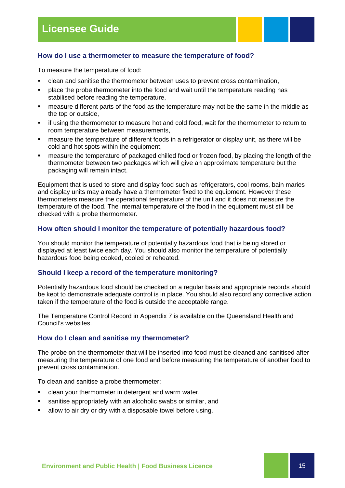### **How do I use a thermometer to measure the temperature of food?**

To measure the temperature of food:

- clean and sanitise the thermometer between uses to prevent cross contamination,
- **•** place the probe thermometer into the food and wait until the temperature reading has stabilised before reading the temperature,
- measure different parts of the food as the temperature may not be the same in the middle as the top or outside,
- if using the thermometer to measure hot and cold food, wait for the thermometer to return to room temperature between measurements,
- measure the temperature of different foods in a refrigerator or display unit, as there will be cold and hot spots within the equipment,
- measure the temperature of packaged chilled food or frozen food, by placing the length of the thermometer between two packages which will give an approximate temperature but the packaging will remain intact.

Equipment that is used to store and display food such as refrigerators, cool rooms, bain maries and display units may already have a thermometer fixed to the equipment. However these thermometers measure the operational temperature of the unit and it does not measure the temperature of the food. The internal temperature of the food in the equipment must still be checked with a probe thermometer.

#### **How often should I monitor the temperature of potentially hazardous food?**

You should monitor the temperature of potentially hazardous food that is being stored or displayed at least twice each day. You should also monitor the temperature of potentially hazardous food being cooked, cooled or reheated.

#### **Should I keep a record of the temperature monitoring?**

Potentially hazardous food should be checked on a regular basis and appropriate records should be kept to demonstrate adequate control is in place. You should also record any corrective action taken if the temperature of the food is outside the acceptable range.

The Temperature Control Record in Appendix 7 is available on the Queensland Health and Council's websites.

#### **How do I clean and sanitise my thermometer?**

The probe on the thermometer that will be inserted into food must be cleaned and sanitised after measuring the temperature of one food and before measuring the temperature of another food to prevent cross contamination.

To clean and sanitise a probe thermometer:

- **EXECTE 2018** Clean your thermometer in detergent and warm water,
- sanitise appropriately with an alcoholic swabs or similar, and
- allow to air dry or dry with a disposable towel before using.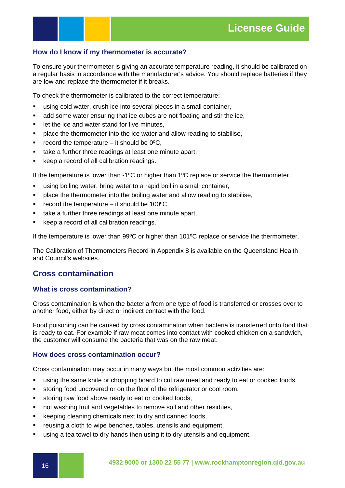### **How do I know if my thermometer is accurate?**

To ensure your thermometer is giving an accurate temperature reading, it should be calibrated on a regular basis in accordance with the manufacturer's advice. You should replace batteries if they are low and replace the thermometer if it breaks.

To check the thermometer is calibrated to the correct temperature:

- using cold water, crush ice into several pieces in a small container,
- add some water ensuring that ice cubes are not floating and stir the ice,
- **EXEC** is let the ice and water stand for five minutes,
- place the thermometer into the ice water and allow reading to stabilise,
- **•** record the temperature it should be  $0^{\circ}C$ ,
- take a further three readings at least one minute apart,
- keep a record of all calibration readings.

If the temperature is lower than  $-1^{\circ}C$  or higher than  $1^{\circ}C$  replace or service the thermometer.

- using boiling water, bring water to a rapid boil in a small container,
- place the thermometer into the boiling water and allow reading to stabilise,
- record the temperature it should be  $100^{\circ}$ C,
- take a further three readings at least one minute apart,
- keep a record of all calibration readings.

If the temperature is lower than 99ºC or higher than 101ºC replace or service the thermometer.

The Calibration of Thermometers Record in Appendix 8 is available on the Queensland Health and Council's websites.

### **Cross contamination**

### **What is cross contamination?**

Cross contamination is when the bacteria from one type of food is transferred or crosses over to another food, either by direct or indirect contact with the food.

Food poisoning can be caused by cross contamination when bacteria is transferred onto food that is ready to eat. For example if raw meat comes into contact with cooked chicken on a sandwich, the customer will consume the bacteria that was on the raw meat.

### **How does cross contamination occur?**

Cross contamination may occur in many ways but the most common activities are:

- using the same knife or chopping board to cut raw meat and ready to eat or cooked foods,
- storing food uncovered or on the floor of the refrigerator or cool room,
- storing raw food above ready to eat or cooked foods,
- **not washing fruit and vegetables to remove soil and other residues,**
- **EXECTED EXECTED EXECTED EXECTED** Keeping cleaning chemicals next to dry and canned foods,
- **F** reusing a cloth to wipe benches, tables, utensils and equipment,
- using a tea towel to dry hands then using it to dry utensils and equipment.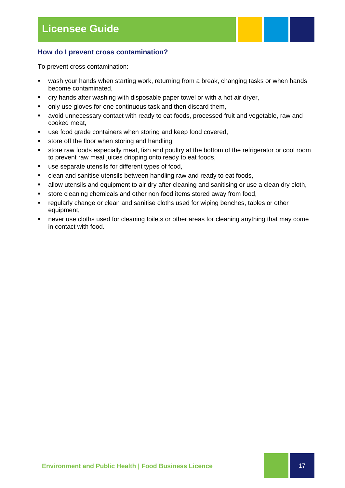### **How do I prevent cross contamination?**

To prevent cross contamination:

- wash your hands when starting work, returning from a break, changing tasks or when hands become contaminated,
- dry hands after washing with disposable paper towel or with a hot air dryer,
- only use gloves for one continuous task and then discard them,
- avoid unnecessary contact with ready to eat foods, processed fruit and vegetable, raw and cooked meat,
- use food grade containers when storing and keep food covered,
- store off the floor when storing and handling,
- store raw foods especially meat, fish and poultry at the bottom of the refrigerator or cool room to prevent raw meat juices dripping onto ready to eat foods,
- use separate utensils for different types of food,
- clean and sanitise utensils between handling raw and ready to eat foods,
- **EXED** allow utensils and equipment to air dry after cleaning and sanitising or use a clean dry cloth,
- store cleaning chemicals and other non food items stored away from food,
- **F** regularly change or clean and sanitise cloths used for wiping benches, tables or other equipment,
- **•** never use cloths used for cleaning toilets or other areas for cleaning anything that may come in contact with food.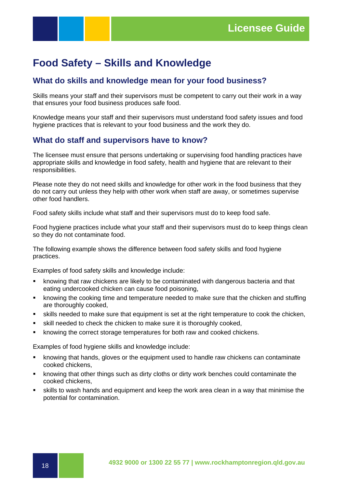### **Food Safety – Skills and Knowledge**

### **What do skills and knowledge mean for your food business?**

Skills means your staff and their supervisors must be competent to carry out their work in a way that ensures your food business produces safe food.

Knowledge means your staff and their supervisors must understand food safety issues and food hygiene practices that is relevant to your food business and the work they do.

### **What do staff and supervisors have to know?**

The licensee must ensure that persons undertaking or supervising food handling practices have appropriate skills and knowledge in food safety, health and hygiene that are relevant to their responsibilities.

Please note they do not need skills and knowledge for other work in the food business that they do not carry out unless they help with other work when staff are away, or sometimes supervise other food handlers.

Food safety skills include what staff and their supervisors must do to keep food safe.

Food hygiene practices include what your staff and their supervisors must do to keep things clean so they do not contaminate food.

The following example shows the difference between food safety skills and food hygiene practices.

Examples of food safety skills and knowledge include:

- knowing that raw chickens are likely to be contaminated with dangerous bacteria and that eating undercooked chicken can cause food poisoning,
- knowing the cooking time and temperature needed to make sure that the chicken and stuffing are thoroughly cooked,
- skills needed to make sure that equipment is set at the right temperature to cook the chicken,
- skill needed to check the chicken to make sure it is thoroughly cooked,
- knowing the correct storage temperatures for both raw and cooked chickens.

Examples of food hygiene skills and knowledge include:

- knowing that hands, gloves or the equipment used to handle raw chickens can contaminate cooked chickens,
- knowing that other things such as dirty cloths or dirty work benches could contaminate the cooked chickens,
- skills to wash hands and equipment and keep the work area clean in a way that minimise the potential for contamination.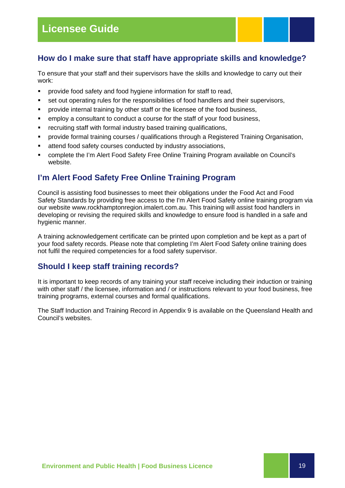### **How do I make sure that staff have appropriate skills and knowledge?**

To ensure that your staff and their supervisors have the skills and knowledge to carry out their work:

- **•** provide food safety and food hygiene information for staff to read,
- set out operating rules for the responsibilities of food handlers and their supervisors,
- **•** provide internal training by other staff or the licensee of the food business,
- employ a consultant to conduct a course for the staff of your food business,
- **F** recruiting staff with formal industry based training qualifications,
- provide formal training courses / qualifications through a Registered Training Organisation,
- attend food safety courses conducted by industry associations,
- complete the I'm Alert Food Safety Free Online Training Program available on Council's website.

### **I'm Alert Food Safety Free Online Training Program**

Council is assisting food businesses to meet their obligations under the Food Act and Food Safety Standards by providing free access to the I'm Alert Food Safety online training program via our website www.rockhamptonregion.imalert.com.au. This training will assist food handlers in developing or revising the required skills and knowledge to ensure food is handled in a safe and hygienic manner.

A training acknowledgement certificate can be printed upon completion and be kept as a part of your food safety records. Please note that completing I'm Alert Food Safety online training does not fulfil the required competencies for a food safety supervisor.

### **Should I keep staff training records?**

It is important to keep records of any training your staff receive including their induction or training with other staff / the licensee, information and / or instructions relevant to your food business, free training programs, external courses and formal qualifications.

The Staff Induction and Training Record in Appendix 9 is available on the Queensland Health and Council's websites.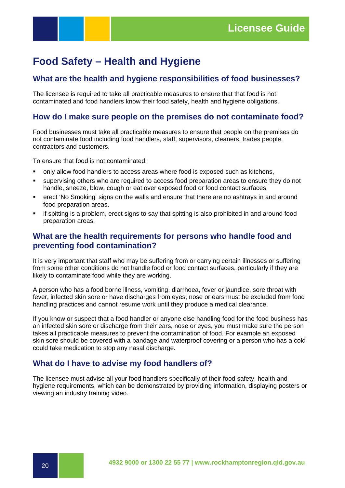### **Food Safety – Health and Hygiene**

### **What are the health and hygiene responsibilities of food businesses?**

The licensee is required to take all practicable measures to ensure that that food is not contaminated and food handlers know their food safety, health and hygiene obligations.

### **How do I make sure people on the premises do not contaminate food?**

Food businesses must take all practicable measures to ensure that people on the premises do not contaminate food including food handlers, staff, supervisors, cleaners, trades people, contractors and customers.

To ensure that food is not contaminated:

- only allow food handlers to access areas where food is exposed such as kitchens,
- supervising others who are required to access food preparation areas to ensure they do not handle, sneeze, blow, cough or eat over exposed food or food contact surfaces,
- erect 'No Smoking' signs on the walls and ensure that there are no ashtrays in and around food preparation areas,
- if spitting is a problem, erect signs to say that spitting is also prohibited in and around food preparation areas.

### **What are the health requirements for persons who handle food and preventing food contamination?**

It is very important that staff who may be suffering from or carrying certain illnesses or suffering from some other conditions do not handle food or food contact surfaces, particularly if they are likely to contaminate food while they are working.

A person who has a food borne illness, vomiting, diarrhoea, fever or jaundice, sore throat with fever, infected skin sore or have discharges from eyes, nose or ears must be excluded from food handling practices and cannot resume work until they produce a medical clearance.

If you know or suspect that a food handler or anyone else handling food for the food business has an infected skin sore or discharge from their ears, nose or eyes, you must make sure the person takes all practicable measures to prevent the contamination of food. For example an exposed skin sore should be covered with a bandage and waterproof covering or a person who has a cold could take medication to stop any nasal discharge.

### **What do I have to advise my food handlers of?**

The licensee must advise all your food handlers specifically of their food safety, health and hygiene requirements, which can be demonstrated by providing information, displaying posters or viewing an industry training video.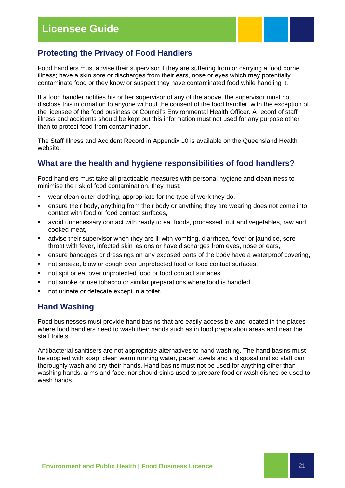### **Protecting the Privacy of Food Handlers**

Food handlers must advise their supervisor if they are suffering from or carrying a food borne illness; have a skin sore or discharges from their ears, nose or eyes which may potentially contaminate food or they know or suspect they have contaminated food while handling it.

If a food handler notifies his or her supervisor of any of the above, the supervisor must not disclose this information to anyone without the consent of the food handler, with the exception of the licensee of the food business or Council's Environmental Health Officer. A record of staff illness and accidents should be kept but this information must not used for any purpose other than to protect food from contamination.

The Staff Illness and Accident Record in Appendix 10 is available on the Queensland Health website.

### **What are the health and hygiene responsibilities of food handlers?**

Food handlers must take all practicable measures with personal hygiene and cleanliness to minimise the risk of food contamination, they must:

- wear clean outer clothing, appropriate for the type of work they do,
- ensure their body, anything from their body or anything they are wearing does not come into contact with food or food contact surfaces,
- avoid unnecessary contact with ready to eat foods, processed fruit and vegetables, raw and cooked meat,
- **EXED Advise their supervisor when they are ill with vomiting, diarrhoea, fever or jaundice, sore** throat with fever, infected skin lesions or have discharges from eyes, nose or ears,
- ensure bandages or dressings on any exposed parts of the body have a waterproof covering,
- not sneeze, blow or cough over unprotected food or food contact surfaces,
- not spit or eat over unprotected food or food contact surfaces,
- not smoke or use tobacco or similar preparations where food is handled,
- not urinate or defecate except in a toilet.

### **Hand Washing**

Food businesses must provide hand basins that are easily accessible and located in the places where food handlers need to wash their hands such as in food preparation areas and near the staff toilets.

Antibacterial sanitisers are not appropriate alternatives to hand washing. The hand basins must be supplied with soap, clean warm running water, paper towels and a disposal unit so staff can thoroughly wash and dry their hands. Hand basins must not be used for anything other than washing hands, arms and face, nor should sinks used to prepare food or wash dishes be used to wash hands.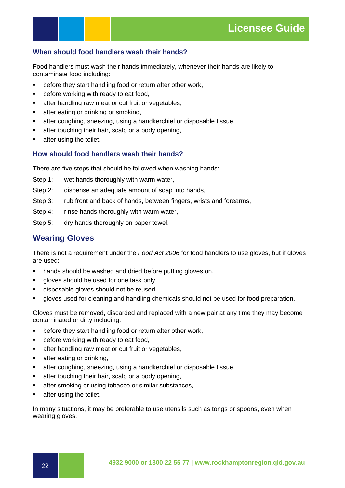### **When should food handlers wash their hands?**

Food handlers must wash their hands immediately, whenever their hands are likely to contaminate food including:

- before they start handling food or return after other work,
- **•** before working with ready to eat food,
- **EXECTE A** after handling raw meat or cut fruit or vegetables,
- **after eating or drinking or smoking,**
- after coughing, sneezing, using a handkerchief or disposable tissue,
- after touching their hair, scalp or a body opening,
- **EXECUTE:** after using the toilet.

### **How should food handlers wash their hands?**

There are five steps that should be followed when washing hands:

- Step 1: wet hands thoroughly with warm water,
- Step 2: dispense an adequate amount of soap into hands,
- Step 3: rub front and back of hands, between fingers, wrists and forearms,
- Step 4: rinse hands thoroughly with warm water,
- Step 5: dry hands thoroughly on paper towel.

### **Wearing Gloves**

There is not a requirement under the *Food Act 2006* for food handlers to use gloves, but if gloves are used:

- **hands should be washed and dried before putting gloves on,**
- gloves should be used for one task only,
- **disposable gloves should not be reused,**
- gloves used for cleaning and handling chemicals should not be used for food preparation.

Gloves must be removed, discarded and replaced with a new pair at any time they may become contaminated or dirty including:

- **•** before they start handling food or return after other work,
- before working with ready to eat food,
- **EXECUTE:** after handling raw meat or cut fruit or vegetables,
- after eating or drinking,
- after coughing, sneezing, using a handkerchief or disposable tissue,
- **EXECTE:** after touching their hair, scalp or a body opening,
- **EXECTE FIGHT SMOKE ATTER SHOWS EXECTED SHOWS** after smoking or using tobacco or similar substances,
- **EXECUTE:** after using the toilet.

In many situations, it may be preferable to use utensils such as tongs or spoons, even when wearing gloves.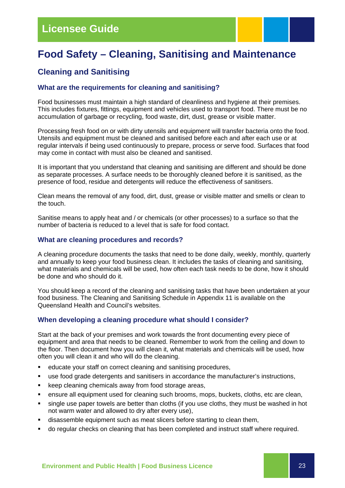### **Licensee Guide**

### **Food Safety – Cleaning, Sanitising and Maintenance**

### **Cleaning and Sanitising**

### **What are the requirements for cleaning and sanitising?**

Food businesses must maintain a high standard of cleanliness and hygiene at their premises. This includes fixtures, fittings, equipment and vehicles used to transport food. There must be no accumulation of garbage or recycling, food waste, dirt, dust, grease or visible matter.

Processing fresh food on or with dirty utensils and equipment will transfer bacteria onto the food. Utensils and equipment must be cleaned and sanitised before each and after each use or at regular intervals if being used continuously to prepare, process or serve food. Surfaces that food may come in contact with must also be cleaned and sanitised.

It is important that you understand that cleaning and sanitising are different and should be done as separate processes. A surface needs to be thoroughly cleaned before it is sanitised, as the presence of food, residue and detergents will reduce the effectiveness of sanitisers.

Clean means the removal of any food, dirt, dust, grease or visible matter and smells or clean to the touch.

Sanitise means to apply heat and / or chemicals (or other processes) to a surface so that the number of bacteria is reduced to a level that is safe for food contact.

### **What are cleaning procedures and records?**

A cleaning procedure documents the tasks that need to be done daily, weekly, monthly, quarterly and annually to keep your food business clean. It includes the tasks of cleaning and sanitising, what materials and chemicals will be used, how often each task needs to be done, how it should be done and who should do it.

You should keep a record of the cleaning and sanitising tasks that have been undertaken at your food business. The Cleaning and Sanitising Schedule in Appendix 11 is available on the Queensland Health and Council's websites.

### **When developing a cleaning procedure what should I consider?**

Start at the back of your premises and work towards the front documenting every piece of equipment and area that needs to be cleaned. Remember to work from the ceiling and down to the floor. Then document how you will clean it, what materials and chemicals will be used, how often you will clean it and who will do the cleaning.

- educate your staff on correct cleaning and sanitising procedures,
- use food grade detergents and sanitisers in accordance the manufacturer's instructions,
- **EXECTE FIGHT EXECTE FIGHT FIGHT FIGHT FIGHT FIGHT FIGHT FIGHT FIGHT FIGHT FIGHT FIGHT FIGHT FIGHT FIGHT FIGHT FIGHT FIGHT FIGHT FIGHT FIGHT FIGHT FIGHT FIGHT FIGHT FIGHT FIGHT FIGHT FIGHT FIGHT FIGHT FIGHT FIGHT FIGHT FIG**
- ensure all equipment used for cleaning such brooms, mops, buckets, cloths, etc are clean,
- single use paper towels are better than cloths (if you use cloths, they must be washed in hot not warm water and allowed to dry after every use),
- disassemble equipment such as meat slicers before starting to clean them,
- do regular checks on cleaning that has been completed and instruct staff where required.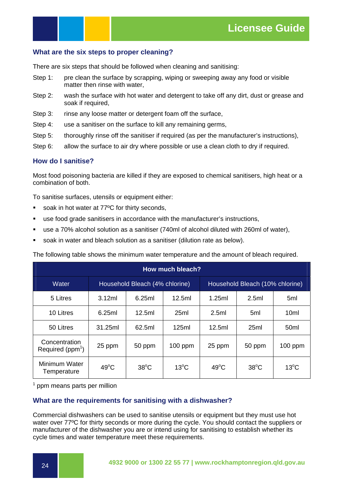### **What are the six steps to proper cleaning?**

There are six steps that should be followed when cleaning and sanitising:

- Step 1: pre clean the surface by scrapping, wiping or sweeping away any food or visible matter then rinse with water,
- Step 2: wash the surface with hot water and detergent to take off any dirt, dust or grease and soak if required,
- Step 3: rinse any loose matter or detergent foam off the surface,
- Step 4: use a sanitiser on the surface to kill any remaining germs,
- Step 5: thoroughly rinse off the sanitiser if required (as per the manufacturer's instructions),
- Step 6: allow the surface to air dry where possible or use a clean cloth to dry if required.

### **How do I sanitise?**

Most food poisoning bacteria are killed if they are exposed to chemical sanitisers, high heat or a combination of both.

To sanitise surfaces, utensils or equipment either:

- soak in hot water at 77°C for thirty seconds,
- use food grade sanitisers in accordance with the manufacturer's instructions,
- use a 70% alcohol solution as a sanitiser (740ml of alcohol diluted with 260ml of water),
- soak in water and bleach solution as a sanitiser (dilution rate as below).

The following table shows the minimum water temperature and the amount of bleach required.

| How much bleach?                     |                |                                |                |                |                                 |                  |  |  |  |
|--------------------------------------|----------------|--------------------------------|----------------|----------------|---------------------------------|------------------|--|--|--|
| Water                                |                | Household Bleach (4% chlorine) |                |                | Household Bleach (10% chlorine) |                  |  |  |  |
| 5 Litres                             | 3.12ml         | 6.25ml                         | 12.5ml         | 1.25ml         | 2.5ml                           | 5ml              |  |  |  |
| 10 Litres                            | 6.25ml         | 12.5ml                         | 25ml           | 2.5ml          | 5 <sub>ml</sub>                 | 10 <sub>ml</sub> |  |  |  |
| 50 Litres                            | 31.25ml        | 62.5ml                         | 125ml          | 12.5ml         | 25ml                            | 50 <sub>ml</sub> |  |  |  |
| Concentration<br>Required ( $ppm1$ ) | 25 ppm         | 50 ppm                         | $100$ ppm      | 25 ppm         | 50 ppm                          | $100$ ppm        |  |  |  |
| Minimum Water<br>Temperature         | $49^{\circ}$ C | $38^{\circ}$ C                 | $13^{\circ}$ C | $49^{\circ}$ C | $38^{\circ}$ C                  | $13^{\circ}$ C   |  |  |  |

<sup>1</sup> ppm means parts per million

### **What are the requirements for sanitising with a dishwasher?**

Commercial dishwashers can be used to sanitise utensils or equipment but they must use hot water over 77ºC for thirty seconds or more during the cycle. You should contact the suppliers or manufacturer of the dishwasher you are or intend using for sanitising to establish whether its cycle times and water temperature meet these requirements.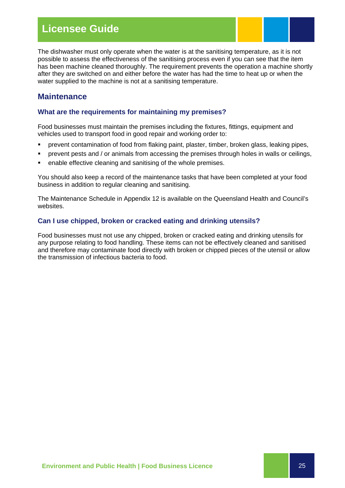### **Licensee Guide**

The dishwasher must only operate when the water is at the sanitising temperature, as it is not possible to assess the effectiveness of the sanitising process even if you can see that the item has been machine cleaned thoroughly. The requirement prevents the operation a machine shortly after they are switched on and either before the water has had the time to heat up or when the water supplied to the machine is not at a sanitising temperature.

### **Maintenance**

### **What are the requirements for maintaining my premises?**

Food businesses must maintain the premises including the fixtures, fittings, equipment and vehicles used to transport food in good repair and working order to:

- prevent contamination of food from flaking paint, plaster, timber, broken glass, leaking pipes,
- **•** prevent pests and / or animals from accessing the premises through holes in walls or ceilings,
- enable effective cleaning and sanitising of the whole premises.

You should also keep a record of the maintenance tasks that have been completed at your food business in addition to regular cleaning and sanitising.

The Maintenance Schedule in Appendix 12 is available on the Queensland Health and Council's websites.

### **Can I use chipped, broken or cracked eating and drinking utensils?**

Food businesses must not use any chipped, broken or cracked eating and drinking utensils for any purpose relating to food handling. These items can not be effectively cleaned and sanitised and therefore may contaminate food directly with broken or chipped pieces of the utensil or allow the transmission of infectious bacteria to food.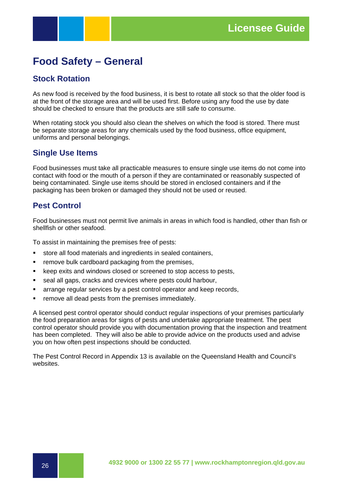### **Food Safety – General**

### **Stock Rotation**

As new food is received by the food business, it is best to rotate all stock so that the older food is at the front of the storage area and will be used first. Before using any food the use by date should be checked to ensure that the products are still safe to consume.

When rotating stock you should also clean the shelves on which the food is stored. There must be separate storage areas for any chemicals used by the food business, office equipment, uniforms and personal belongings.

### **Single Use Items**

Food businesses must take all practicable measures to ensure single use items do not come into contact with food or the mouth of a person if they are contaminated or reasonably suspected of being contaminated. Single use items should be stored in enclosed containers and if the packaging has been broken or damaged they should not be used or reused.

### **Pest Control**

Food businesses must not permit live animals in areas in which food is handled, other than fish or shellfish or other seafood.

To assist in maintaining the premises free of pests:

- store all food materials and ingredients in sealed containers,
- **F** remove bulk cardboard packaging from the premises,
- **E** keep exits and windows closed or screened to stop access to pests,
- seal all gaps, cracks and crevices where pests could harbour,
- **EXEDENT** arrange regular services by a pest control operator and keep records,
- **F** remove all dead pests from the premises immediately.

A licensed pest control operator should conduct regular inspections of your premises particularly the food preparation areas for signs of pests and undertake appropriate treatment. The pest control operator should provide you with documentation proving that the inspection and treatment has been completed. They will also be able to provide advice on the products used and advise you on how often pest inspections should be conducted.

The Pest Control Record in Appendix 13 is available on the Queensland Health and Council's websites.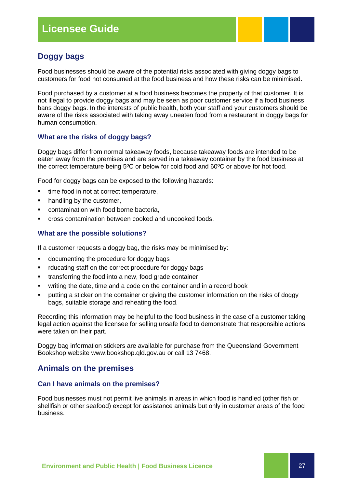### **Doggy bags**

Food businesses should be aware of the potential risks associated with giving doggy bags to customers for food not consumed at the food business and how these risks can be minimised.

Food purchased by a customer at a food business becomes the property of that customer. It is not illegal to provide doggy bags and may be seen as poor customer service if a food business bans doggy bags. In the interests of public health, both your staff and your customers should be aware of the risks associated with taking away uneaten food from a restaurant in doggy bags for human consumption.

### **What are the risks of doggy bags?**

Doggy bags differ from normal takeaway foods, because takeaway foods are intended to be eaten away from the premises and are served in a takeaway container by the food business at the correct temperature being 5ºC or below for cold food and 60ºC or above for hot food.

Food for doggy bags can be exposed to the following hazards:

- time food in not at correct temperature,
- handling by the customer,
- contamination with food borne bacteria,
- cross contamination between cooked and uncooked foods.

#### **What are the possible solutions?**

If a customer requests a doggy bag, the risks may be minimised by:

- **documenting the procedure for doggy bags**
- rducating staff on the correct procedure for doggy bags
- transferring the food into a new, food grade container
- writing the date, time and a code on the container and in a record book
- putting a sticker on the container or giving the customer information on the risks of doggy bags, suitable storage and reheating the food.

Recording this information may be helpful to the food business in the case of a customer taking legal action against the licensee for selling unsafe food to demonstrate that responsible actions were taken on their part.

Doggy bag information stickers are available for purchase from the Queensland Government Bookshop website www.bookshop.qld.gov.au or call 13 7468.

### **Animals on the premises**

### **Can I have animals on the premises?**

Food businesses must not permit live animals in areas in which food is handled (other fish or shellfish or other seafood) except for assistance animals but only in customer areas of the food business.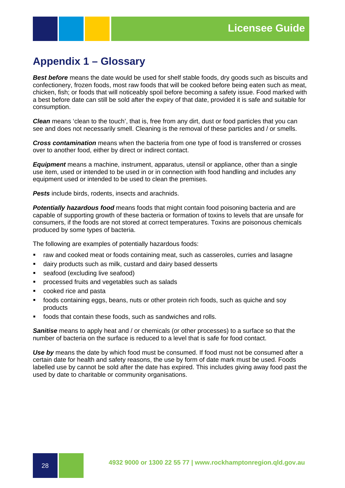### **Appendix 1 – Glossary**

*Best before* means the date would be used for shelf stable foods, dry goods such as biscuits and confectionery, frozen foods, most raw foods that will be cooked before being eaten such as meat, chicken, fish; or foods that will noticeably spoil before becoming a safety issue. Food marked with a best before date can still be sold after the expiry of that date, provided it is safe and suitable for consumption.

*Clean* means 'clean to the touch', that is, free from any dirt, dust or food particles that you can see and does not necessarily smell. Cleaning is the removal of these particles and / or smells.

*Cross contamination* means when the bacteria from one type of food is transferred or crosses over to another food, either by direct or indirect contact.

*Equipment* means a machine, instrument, apparatus, utensil or appliance, other than a single use item, used or intended to be used in or in connection with food handling and includes any equipment used or intended to be used to clean the premises.

**Pests** include birds, rodents, insects and arachnids.

**Potentially hazardous food** means foods that might contain food poisoning bacteria and are capable of supporting growth of these bacteria or formation of toxins to levels that are unsafe for consumers, if the foods are not stored at correct temperatures. Toxins are poisonous chemicals produced by some types of bacteria.

The following are examples of potentially hazardous foods:

- **•** raw and cooked meat or foods containing meat, such as casseroles, curries and lasagne
- dairy products such as milk, custard and dairy based desserts
- **seafood (excluding live seafood)**
- **PEDECE SERVIER IN THE PROCESSED fruits and vegetables such as salads**
- cooked rice and pasta
- foods containing eggs, beans, nuts or other protein rich foods, such as quiche and soy products
- foods that contain these foods, such as sandwiches and rolls.

*Sanitise* means to apply heat and / or chemicals (or other processes) to a surface so that the number of bacteria on the surface is reduced to a level that is safe for food contact.

*Use by* means the date by which food must be consumed. If food must not be consumed after a certain date for health and safety reasons, the use by form of date mark must be used. Foods labelled use by cannot be sold after the date has expired. This includes giving away food past the used by date to charitable or community organisations.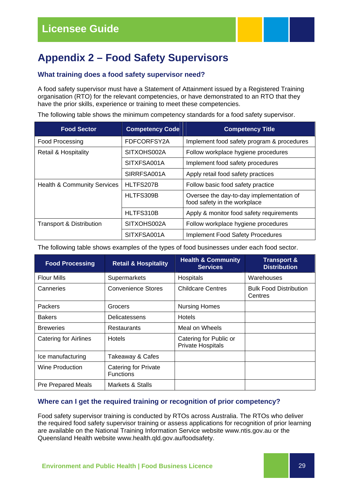### **Appendix 2 – Food Safety Supervisors**

### **What training does a food safety supervisor need?**

A food safety supervisor must have a Statement of Attainment issued by a Registered Training organisation (RTO) for the relevant competencies, or have demonstrated to an RTO that they have the prior skills, experience or training to meet these competencies.

The following table shows the minimum competency standards for a food safety supervisor.

| <b>Food Sector</b>                     | <b>Competency Code</b> | <b>Competency Title</b>                                                  |
|----------------------------------------|------------------------|--------------------------------------------------------------------------|
| Food Processing                        | FDFCORFSY2A            | Implement food safety program & procedures                               |
| Retail & Hospitality                   | SITXOHS002A            | Follow workplace hygiene procedures                                      |
|                                        | SITXFSA001A            | Implement food safety procedures                                         |
|                                        | SIRRFSA001A            | Apply retail food safety practices                                       |
| <b>Health &amp; Community Services</b> | HLTFS207B              | Follow basic food safety practice                                        |
|                                        | HLTFS309B              | Oversee the day-to-day implementation of<br>food safety in the workplace |
|                                        | HLTFS310B              | Apply & monitor food safety requirements                                 |
| <b>Transport &amp; Distribution</b>    | SITXOHS002A            | Follow workplace hygiene procedures                                      |
|                                        | SITXFSA001A            | <b>Implement Food Safety Procedures</b>                                  |

The following table shows examples of the types of food businesses under each food sector.

| <b>Food Processing</b>       | <b>Retail &amp; Hospitality</b>          | <b>Health &amp; Community</b><br><b>Services</b> | <b>Transport &amp;</b><br><b>Distribution</b> |
|------------------------------|------------------------------------------|--------------------------------------------------|-----------------------------------------------|
| <b>Flour Mills</b>           | Supermarkets                             | Hospitals                                        | Warehouses                                    |
| Canneries                    | <b>Convenience Stores</b>                | <b>Childcare Centres</b>                         | <b>Bulk Food Distribution</b><br>Centres      |
| <b>Packers</b>               | Grocers                                  | <b>Nursing Homes</b>                             |                                               |
| <b>Bakers</b>                | Delicatessens                            | <b>Hotels</b>                                    |                                               |
| <b>Breweries</b>             | <b>Restaurants</b>                       | Meal on Wheels                                   |                                               |
| <b>Catering for Airlines</b> | <b>Hotels</b>                            | Catering for Public or<br>Private Hospitals      |                                               |
| Ice manufacturing            | Takeaway & Cafes                         |                                                  |                                               |
| Wine Production              | Catering for Private<br><b>Functions</b> |                                                  |                                               |
| <b>Pre Prepared Meals</b>    | Markets & Stalls                         |                                                  |                                               |

### **Where can I get the required training or recognition of prior competency?**

Food safety supervisor training is conducted by RTOs across Australia. The RTOs who deliver the required food safety supervisor training or assess applications for recognition of prior learning are available on the National Training Information Service website www.ntis.gov.au or the Queensland Health website www.health.qld.gov.au/foodsafety.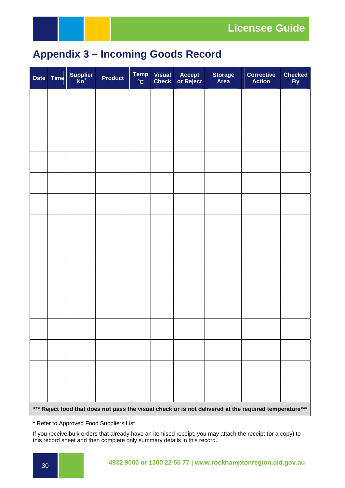

### **Appendix 3 – Incoming Goods Record**

| <b>Date</b> | <b>Time</b> | Supplier<br>No <sup>1</sup> | <b>Product</b> | Temp<br>$\mathrm{^{0}C}$ | <b>Visual</b><br><b>Check</b> | <b>Accept</b><br>or Reject | <b>Storage</b><br><b>Area</b> | <b>Corrective</b><br><b>Action</b>                                                                     | <b>Checked</b><br>By |
|-------------|-------------|-----------------------------|----------------|--------------------------|-------------------------------|----------------------------|-------------------------------|--------------------------------------------------------------------------------------------------------|----------------------|
|             |             |                             |                |                          |                               |                            |                               |                                                                                                        |                      |
|             |             |                             |                |                          |                               |                            |                               |                                                                                                        |                      |
|             |             |                             |                |                          |                               |                            |                               |                                                                                                        |                      |
|             |             |                             |                |                          |                               |                            |                               |                                                                                                        |                      |
|             |             |                             |                |                          |                               |                            |                               |                                                                                                        |                      |
|             |             |                             |                |                          |                               |                            |                               |                                                                                                        |                      |
|             |             |                             |                |                          |                               |                            |                               |                                                                                                        |                      |
|             |             |                             |                |                          |                               |                            |                               |                                                                                                        |                      |
|             |             |                             |                |                          |                               |                            |                               |                                                                                                        |                      |
|             |             |                             |                |                          |                               |                            |                               |                                                                                                        |                      |
|             |             |                             |                |                          |                               |                            |                               |                                                                                                        |                      |
|             |             |                             |                |                          |                               |                            |                               |                                                                                                        |                      |
|             |             |                             |                |                          |                               |                            |                               |                                                                                                        |                      |
|             |             |                             |                |                          |                               |                            |                               |                                                                                                        |                      |
|             |             |                             |                |                          |                               |                            |                               |                                                                                                        |                      |
|             |             |                             |                |                          |                               |                            |                               | *** Reject food that does not pass the visual check or is not delivered at the required temperature*** |                      |

<sup>1</sup> Refer to Approved Food Suppliers List

If you receive bulk orders that already have an itemised receipt, you may attach the receipt (or a copy) to this record sheet and then complete only summary details in this record.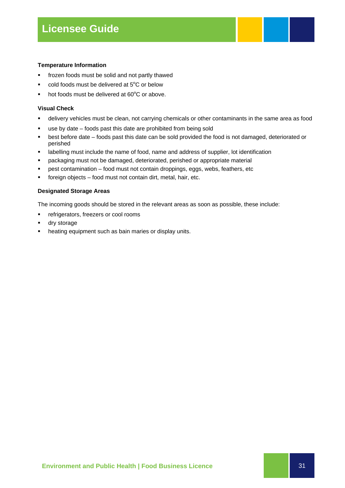#### **Temperature Information**

- **fick** frozen foods must be solid and not partly thawed
- cold foods must be delivered at 5ºC or below
- hot foods must be delivered at 60ºC or above.

#### **Visual Check**

- delivery vehicles must be clean, not carrying chemicals or other contaminants in the same area as food
- use by date foods past this date are prohibited from being sold
- best before date foods past this date can be sold provided the food is not damaged, deteriorated or perished
- labelling must include the name of food, name and address of supplier, lot identification
- packaging must not be damaged, deteriorated, perished or appropriate material
- **Past contamination food must not contain droppings, eggs, webs, feathers, etc**
- foreign objects food must not contain dirt, metal, hair, etc.

#### **Designated Storage Areas**

The incoming goods should be stored in the relevant areas as soon as possible, these include:

- **F** refrigerators, freezers or cool rooms
- dry storage
- heating equipment such as bain maries or display units.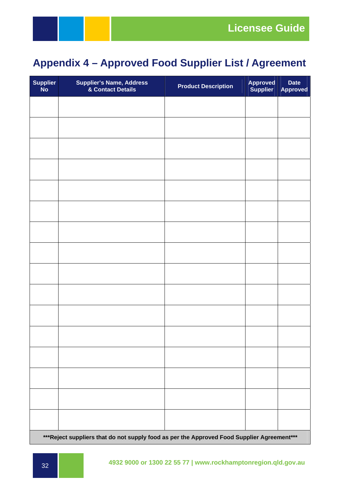### **Appendix 4 – Approved Food Supplier List / Agreement**

| Supplier<br>No | <b>Supplier's Name, Address<br/>&amp; Contact Details</b>                                   | <b>Product Description</b> | <b>Approved</b><br>Supplier | <b>Date</b><br><b>Approved</b> |  |  |  |  |  |  |
|----------------|---------------------------------------------------------------------------------------------|----------------------------|-----------------------------|--------------------------------|--|--|--|--|--|--|
|                |                                                                                             |                            |                             |                                |  |  |  |  |  |  |
|                |                                                                                             |                            |                             |                                |  |  |  |  |  |  |
|                |                                                                                             |                            |                             |                                |  |  |  |  |  |  |
|                |                                                                                             |                            |                             |                                |  |  |  |  |  |  |
|                |                                                                                             |                            |                             |                                |  |  |  |  |  |  |
|                |                                                                                             |                            |                             |                                |  |  |  |  |  |  |
|                |                                                                                             |                            |                             |                                |  |  |  |  |  |  |
|                |                                                                                             |                            |                             |                                |  |  |  |  |  |  |
|                |                                                                                             |                            |                             |                                |  |  |  |  |  |  |
|                |                                                                                             |                            |                             |                                |  |  |  |  |  |  |
|                |                                                                                             |                            |                             |                                |  |  |  |  |  |  |
|                |                                                                                             |                            |                             |                                |  |  |  |  |  |  |
|                |                                                                                             |                            |                             |                                |  |  |  |  |  |  |
|                |                                                                                             |                            |                             |                                |  |  |  |  |  |  |
|                |                                                                                             |                            |                             |                                |  |  |  |  |  |  |
|                |                                                                                             |                            |                             |                                |  |  |  |  |  |  |
|                | *** Reject suppliers that do not supply food as per the Approved Food Supplier Agreement*** |                            |                             |                                |  |  |  |  |  |  |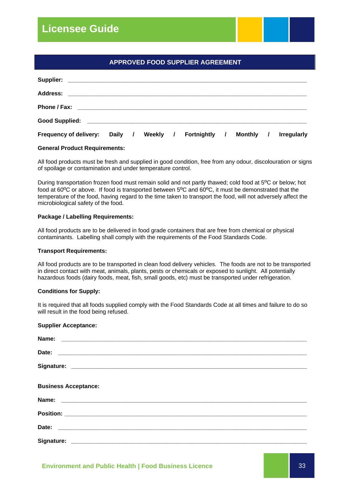### **Licensee Guide**

|                        | <b>APPROVED FOOD SUPPLIER AGREEMENT</b> |  |          |  |                      |  |           |                    |
|------------------------|-----------------------------------------|--|----------|--|----------------------|--|-----------|--------------------|
|                        |                                         |  |          |  |                      |  |           |                    |
|                        |                                         |  |          |  |                      |  |           |                    |
|                        |                                         |  |          |  |                      |  |           |                    |
|                        |                                         |  |          |  |                      |  |           |                    |
| Frequency of delivery: | Daily /                                 |  | Weekly / |  | <b>Fortnightly</b> / |  | Monthly / | <b>Irregularly</b> |

**General Product Requirements:** 

All food products must be fresh and supplied in good condition, free from any odour, discolouration or signs of spoilage or contamination and under temperature control.

During transportation frozen food must remain solid and not partly thawed; cold food at 5ºC or below; hot food at 60ºC or above. If food is transported between 5ºC and 60ºC, it must be demonstrated that the temperature of the food, having regard to the time taken to transport the food, will not adversely affect the microbiological safety of the food.

#### **Package / Labelling Requirements:**

All food products are to be delivered in food grade containers that are free from chemical or physical contaminants. Labelling shall comply with the requirements of the Food Standards Code.

#### **Transport Requirements:**

All food products are to be transported in clean food delivery vehicles. The foods are not to be transported in direct contact with meat, animals, plants, pests or chemicals or exposed to sunlight. All potentially hazardous foods (dairy foods, meat, fish, small goods, etc) must be transported under refrigeration.

#### **Conditions for Supply:**

It is required that all foods supplied comply with the Food Standards Code at all times and failure to do so will result in the food being refused.

#### **Supplier Acceptance:**

| Name:                       |  |  |
|-----------------------------|--|--|
| Date:                       |  |  |
|                             |  |  |
| <b>Business Acceptance:</b> |  |  |
| Name:                       |  |  |
|                             |  |  |
|                             |  |  |
|                             |  |  |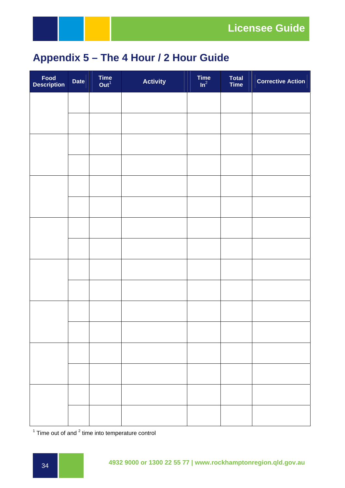

### **Appendix 5 – The 4 Hour / 2 Hour Guide**

| Food<br>Description | Date | Time $Out1$ | <b>Activity</b> | Time $\ln^2$ | Total<br>Time | <b>Corrective Action</b> |
|---------------------|------|-------------|-----------------|--------------|---------------|--------------------------|
|                     |      |             |                 |              |               |                          |
|                     |      |             |                 |              |               |                          |
|                     |      |             |                 |              |               |                          |
|                     |      |             |                 |              |               |                          |
|                     |      |             |                 |              |               |                          |
|                     |      |             |                 |              |               |                          |
|                     |      |             |                 |              |               |                          |
|                     |      |             |                 |              |               |                          |
|                     |      |             |                 |              |               |                          |
|                     |      |             |                 |              |               |                          |
|                     |      |             |                 |              |               |                          |
|                     |      |             |                 |              |               |                          |
|                     |      |             |                 |              |               |                          |
|                     |      |             |                 |              |               |                          |
|                     |      |             |                 |              |               |                          |
|                     |      |             |                 |              |               |                          |

 $1$  Time out of and  $2$  time into temperature control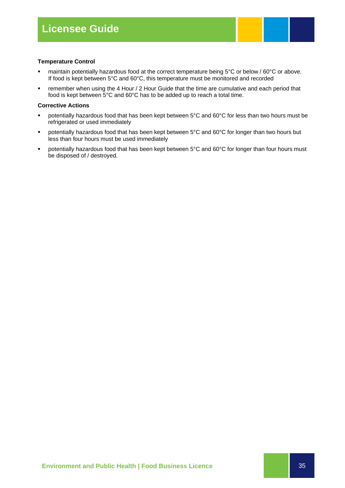#### **Temperature Control**

- maintain potentially hazardous food at the correct temperature being 5°C or below / 60°C or above. If food is kept between 5°C and 60°C, this temperature must be monitored and recorded
- **F** remember when using the 4 Hour / 2 Hour Guide that the time are cumulative and each period that food is kept between 5°C and 60°C has to be added up to reach a total time.

#### **Corrective Actions**

- potentially hazardous food that has been kept between 5°C and 60°C for less than two hours must be refrigerated or used immediately
- potentially hazardous food that has been kept between 5°C and 60°C for longer than two hours but less than four hours must be used immediately
- potentially hazardous food that has been kept between 5°C and 60°C for longer than four hours must be disposed of / destroyed.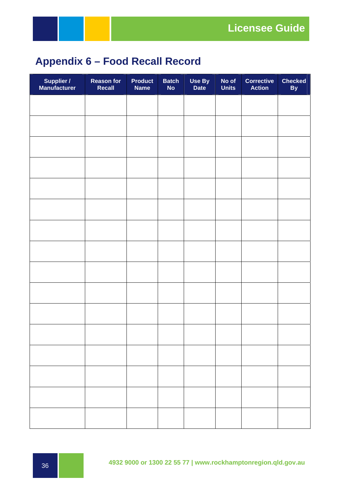

### **Appendix 6 – Food Recall Record**

| <b>Supplier /<br/>Manufacturer</b> | <b>Reason for<br/>Recall</b> | <b>Product</b><br><b>Name</b> | <b>Batch</b><br><b>No</b> | Use By<br>Date | No of<br><b>Units</b> | <b>Corrective</b><br><b>Action</b> | <b>Checked</b><br>By |
|------------------------------------|------------------------------|-------------------------------|---------------------------|----------------|-----------------------|------------------------------------|----------------------|
|                                    |                              |                               |                           |                |                       |                                    |                      |
|                                    |                              |                               |                           |                |                       |                                    |                      |
|                                    |                              |                               |                           |                |                       |                                    |                      |
|                                    |                              |                               |                           |                |                       |                                    |                      |
|                                    |                              |                               |                           |                |                       |                                    |                      |
|                                    |                              |                               |                           |                |                       |                                    |                      |
|                                    |                              |                               |                           |                |                       |                                    |                      |
|                                    |                              |                               |                           |                |                       |                                    |                      |
|                                    |                              |                               |                           |                |                       |                                    |                      |
|                                    |                              |                               |                           |                |                       |                                    |                      |
|                                    |                              |                               |                           |                |                       |                                    |                      |
|                                    |                              |                               |                           |                |                       |                                    |                      |
|                                    |                              |                               |                           |                |                       |                                    |                      |
|                                    |                              |                               |                           |                |                       |                                    |                      |
|                                    |                              |                               |                           |                |                       |                                    |                      |
|                                    |                              |                               |                           |                |                       |                                    |                      |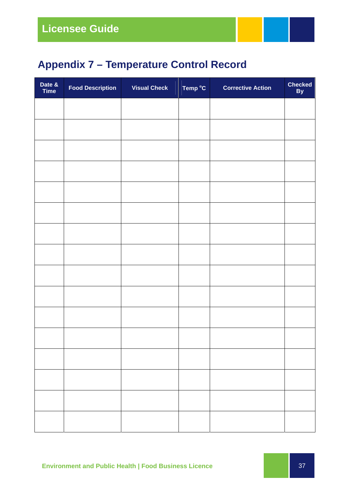### **Appendix 7 – Temperature Control Record**

| Date &<br>Time | <b>Food Description</b> | <b>Visual Check</b> | Temp <sup>o</sup> C | <b>Corrective Action</b> | <b>Checked</b><br>By |
|----------------|-------------------------|---------------------|---------------------|--------------------------|----------------------|
|                |                         |                     |                     |                          |                      |
|                |                         |                     |                     |                          |                      |
|                |                         |                     |                     |                          |                      |
|                |                         |                     |                     |                          |                      |
|                |                         |                     |                     |                          |                      |
|                |                         |                     |                     |                          |                      |
|                |                         |                     |                     |                          |                      |
|                |                         |                     |                     |                          |                      |
|                |                         |                     |                     |                          |                      |
|                |                         |                     |                     |                          |                      |
|                |                         |                     |                     |                          |                      |
|                |                         |                     |                     |                          |                      |
|                |                         |                     |                     |                          |                      |
|                |                         |                     |                     |                          |                      |
|                |                         |                     |                     |                          |                      |
|                |                         |                     |                     |                          |                      |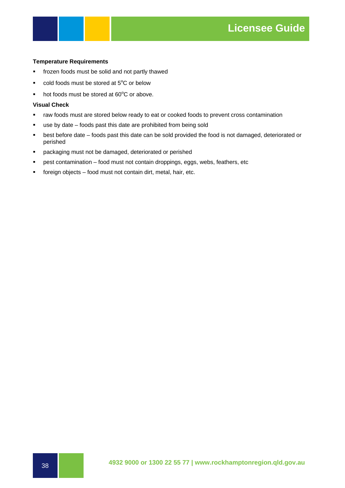#### **Temperature Requirements**

- **fi** frozen foods must be solid and not partly thawed
- cold foods must be stored at 5<sup>o</sup>C or below
- hot foods must be stored at 60°C or above.

#### **Visual Check**

- raw foods must are stored below ready to eat or cooked foods to prevent cross contamination
- use by date foods past this date are prohibited from being sold
- best before date foods past this date can be sold provided the food is not damaged, deteriorated or perished
- **•** packaging must not be damaged, deteriorated or perished
- **Past contamination food must not contain droppings, eggs, webs, feathers, etc**
- **foreign objects food must not contain dirt, metal, hair, etc.**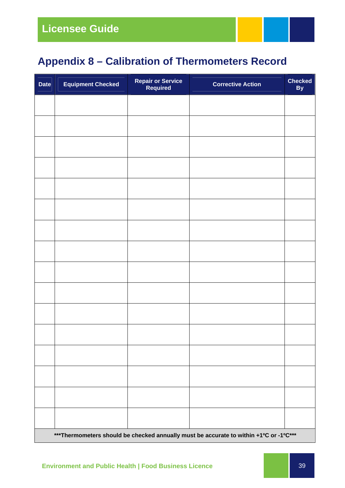### **Appendix 8 – Calibration of Thermometers Record**

| <b>Date</b>                                                                            | <b>Equipment Checked</b> | <b>Repair or Service<br/>Required</b> | <b>Corrective Action</b> | <b>Checked</b><br>By |  |  |  |
|----------------------------------------------------------------------------------------|--------------------------|---------------------------------------|--------------------------|----------------------|--|--|--|
|                                                                                        |                          |                                       |                          |                      |  |  |  |
|                                                                                        |                          |                                       |                          |                      |  |  |  |
|                                                                                        |                          |                                       |                          |                      |  |  |  |
|                                                                                        |                          |                                       |                          |                      |  |  |  |
|                                                                                        |                          |                                       |                          |                      |  |  |  |
|                                                                                        |                          |                                       |                          |                      |  |  |  |
|                                                                                        |                          |                                       |                          |                      |  |  |  |
|                                                                                        |                          |                                       |                          |                      |  |  |  |
|                                                                                        |                          |                                       |                          |                      |  |  |  |
|                                                                                        |                          |                                       |                          |                      |  |  |  |
|                                                                                        |                          |                                       |                          |                      |  |  |  |
|                                                                                        |                          |                                       |                          |                      |  |  |  |
|                                                                                        |                          |                                       |                          |                      |  |  |  |
|                                                                                        |                          |                                       |                          |                      |  |  |  |
|                                                                                        |                          |                                       |                          |                      |  |  |  |
|                                                                                        |                          |                                       |                          |                      |  |  |  |
| *** Thermometers should be checked annually must be accurate to within +1°C or -1°C*** |                          |                                       |                          |                      |  |  |  |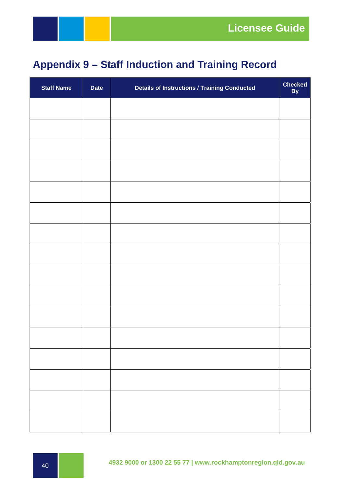### **Appendix 9 – Staff Induction and Training Record**

| <b>Staff Name</b> | <b>Date</b> | <b>Details of Instructions / Training Conducted</b> | <b>Checked</b><br>By |
|-------------------|-------------|-----------------------------------------------------|----------------------|
|                   |             |                                                     |                      |
|                   |             |                                                     |                      |
|                   |             |                                                     |                      |
|                   |             |                                                     |                      |
|                   |             |                                                     |                      |
|                   |             |                                                     |                      |
|                   |             |                                                     |                      |
|                   |             |                                                     |                      |
|                   |             |                                                     |                      |
|                   |             |                                                     |                      |
|                   |             |                                                     |                      |
|                   |             |                                                     |                      |
|                   |             |                                                     |                      |
|                   |             |                                                     |                      |
|                   |             |                                                     |                      |
|                   |             |                                                     |                      |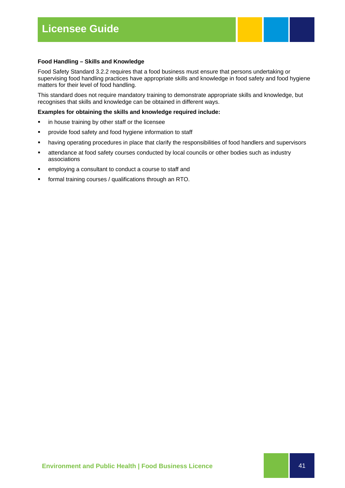#### **Food Handling – Skills and Knowledge**

Food Safety Standard 3.2.2 requires that a food business must ensure that persons undertaking or supervising food handling practices have appropriate skills and knowledge in food safety and food hygiene matters for their level of food handling.

This standard does not require mandatory training to demonstrate appropriate skills and knowledge, but recognises that skills and knowledge can be obtained in different ways.

#### **Examples for obtaining the skills and knowledge required include:**

- **in house training by other staff or the licensee**
- **•** provide food safety and food hygiene information to staff
- having operating procedures in place that clarify the responsibilities of food handlers and supervisors
- attendance at food safety courses conducted by local councils or other bodies such as industry associations
- employing a consultant to conduct a course to staff and
- **formal training courses / qualifications through an RTO.**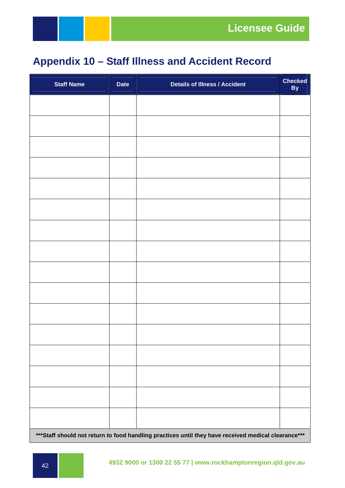### **Appendix 10 – Staff Illness and Accident Record**

| <b>Staff Name</b>                                                                                    | <b>Date</b> | <b>Details of Illness / Accident</b> | Checked<br>By |  |  |  |
|------------------------------------------------------------------------------------------------------|-------------|--------------------------------------|---------------|--|--|--|
|                                                                                                      |             |                                      |               |  |  |  |
|                                                                                                      |             |                                      |               |  |  |  |
|                                                                                                      |             |                                      |               |  |  |  |
|                                                                                                      |             |                                      |               |  |  |  |
|                                                                                                      |             |                                      |               |  |  |  |
|                                                                                                      |             |                                      |               |  |  |  |
|                                                                                                      |             |                                      |               |  |  |  |
|                                                                                                      |             |                                      |               |  |  |  |
|                                                                                                      |             |                                      |               |  |  |  |
|                                                                                                      |             |                                      |               |  |  |  |
|                                                                                                      |             |                                      |               |  |  |  |
|                                                                                                      |             |                                      |               |  |  |  |
|                                                                                                      |             |                                      |               |  |  |  |
|                                                                                                      |             |                                      |               |  |  |  |
|                                                                                                      |             |                                      |               |  |  |  |
|                                                                                                      |             |                                      |               |  |  |  |
| *** Staff should not return to food handling practices until they have received medical clearance*** |             |                                      |               |  |  |  |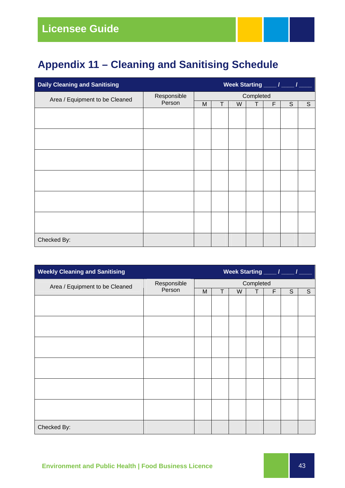### **Appendix 11 – Cleaning and Sanitising Schedule**

| <b>Daily Cleaning and Sanitising</b><br>Week Starting ____ / ____ / |             |   |   |   |           |   |   |                |
|---------------------------------------------------------------------|-------------|---|---|---|-----------|---|---|----------------|
| Area / Equipment to be Cleaned                                      | Responsible |   |   |   | Completed |   |   |                |
|                                                                     | Person      | M | T | W | Т         | F | S | $\overline{S}$ |
|                                                                     |             |   |   |   |           |   |   |                |
|                                                                     |             |   |   |   |           |   |   |                |
|                                                                     |             |   |   |   |           |   |   |                |
|                                                                     |             |   |   |   |           |   |   |                |
|                                                                     |             |   |   |   |           |   |   |                |
|                                                                     |             |   |   |   |           |   |   |                |
|                                                                     |             |   |   |   |           |   |   |                |
|                                                                     |             |   |   |   |           |   |   |                |
|                                                                     |             |   |   |   |           |   |   |                |
|                                                                     |             |   |   |   |           |   |   |                |
|                                                                     |             |   |   |   |           |   |   |                |
|                                                                     |             |   |   |   |           |   |   |                |
| Checked By:                                                         |             |   |   |   |           |   |   |                |

| <b>Weekly Cleaning and Sanitising</b> |             |           |   |   |   | Week Starting ____ / ____ / ____ |   |   |
|---------------------------------------|-------------|-----------|---|---|---|----------------------------------|---|---|
| Area / Equipment to be Cleaned        | Responsible | Completed |   |   |   |                                  |   |   |
|                                       | Person      | M         | T | W | Т | F                                | S | S |
|                                       |             |           |   |   |   |                                  |   |   |
|                                       |             |           |   |   |   |                                  |   |   |
|                                       |             |           |   |   |   |                                  |   |   |
|                                       |             |           |   |   |   |                                  |   |   |
|                                       |             |           |   |   |   |                                  |   |   |
|                                       |             |           |   |   |   |                                  |   |   |
|                                       |             |           |   |   |   |                                  |   |   |
|                                       |             |           |   |   |   |                                  |   |   |
|                                       |             |           |   |   |   |                                  |   |   |
|                                       |             |           |   |   |   |                                  |   |   |
|                                       |             |           |   |   |   |                                  |   |   |
|                                       |             |           |   |   |   |                                  |   |   |
| Checked By:                           |             |           |   |   |   |                                  |   |   |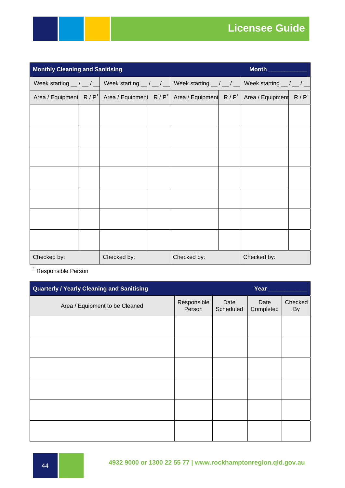### **Licensee Guide**

| <b>Monthly Cleaning and Sanitising</b><br>Month ________ |  |                                                           |  |                             |  |                                             |                  |
|----------------------------------------------------------|--|-----------------------------------------------------------|--|-----------------------------|--|---------------------------------------------|------------------|
| Week starting $\frac{1}{2}$ / $\frac{1}{2}$              |  | Week starting $\frac{1}{\sqrt{2}}$ / $\frac{1}{\sqrt{2}}$ |  | Week starting $\_\$ / $\_\$ |  | Week starting $\frac{1}{2}$ / $\frac{1}{2}$ |                  |
| Area / Equipment $R / P1$                                |  | Area / Equipment $R / P1$                                 |  | Area / Equipment $R / P1$   |  | Area / Equipment                            | R/P <sup>1</sup> |
|                                                          |  |                                                           |  |                             |  |                                             |                  |
|                                                          |  |                                                           |  |                             |  |                                             |                  |
|                                                          |  |                                                           |  |                             |  |                                             |                  |
|                                                          |  |                                                           |  |                             |  |                                             |                  |
|                                                          |  |                                                           |  |                             |  |                                             |                  |
|                                                          |  |                                                           |  |                             |  |                                             |                  |
|                                                          |  |                                                           |  |                             |  |                                             |                  |
|                                                          |  |                                                           |  |                             |  |                                             |                  |
|                                                          |  |                                                           |  |                             |  |                                             |                  |
|                                                          |  |                                                           |  |                             |  |                                             |                  |
|                                                          |  |                                                           |  |                             |  |                                             |                  |
| Checked by:                                              |  | Checked by:                                               |  | Checked by:                 |  | Checked by:                                 |                  |

<sup>1</sup> Responsible Person

| <b>Quarterly / Yearly Cleaning and Sanitising</b> |                       |                   | Year              |               |
|---------------------------------------------------|-----------------------|-------------------|-------------------|---------------|
| Area / Equipment to be Cleaned                    | Responsible<br>Person | Date<br>Scheduled | Date<br>Completed | Checked<br>By |
|                                                   |                       |                   |                   |               |
|                                                   |                       |                   |                   |               |
|                                                   |                       |                   |                   |               |
|                                                   |                       |                   |                   |               |
|                                                   |                       |                   |                   |               |
|                                                   |                       |                   |                   |               |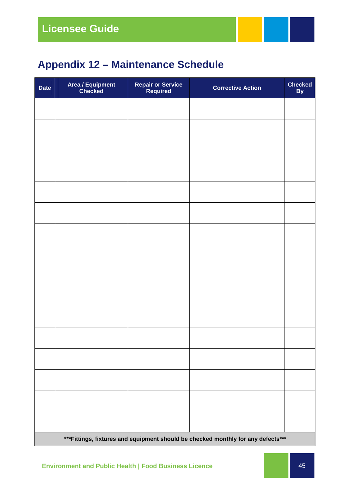### **Appendix 12 – Maintenance Schedule**

| <b>Date</b> | Area / Equipment<br>Checked                                                       | <b>Repair or Service<br/>Required</b> | <b>Corrective Action</b> | <b>Checked</b><br>By |  |  |  |
|-------------|-----------------------------------------------------------------------------------|---------------------------------------|--------------------------|----------------------|--|--|--|
|             |                                                                                   |                                       |                          |                      |  |  |  |
|             |                                                                                   |                                       |                          |                      |  |  |  |
|             |                                                                                   |                                       |                          |                      |  |  |  |
|             |                                                                                   |                                       |                          |                      |  |  |  |
|             |                                                                                   |                                       |                          |                      |  |  |  |
|             |                                                                                   |                                       |                          |                      |  |  |  |
|             |                                                                                   |                                       |                          |                      |  |  |  |
|             |                                                                                   |                                       |                          |                      |  |  |  |
|             |                                                                                   |                                       |                          |                      |  |  |  |
|             |                                                                                   |                                       |                          |                      |  |  |  |
|             |                                                                                   |                                       |                          |                      |  |  |  |
|             |                                                                                   |                                       |                          |                      |  |  |  |
|             |                                                                                   |                                       |                          |                      |  |  |  |
|             |                                                                                   |                                       |                          |                      |  |  |  |
|             |                                                                                   |                                       |                          |                      |  |  |  |
|             |                                                                                   |                                       |                          |                      |  |  |  |
|             | *** Fittings, fixtures and equipment should be checked monthly for any defects*** |                                       |                          |                      |  |  |  |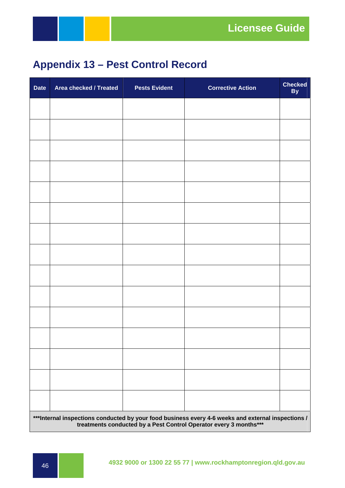### **Appendix 13 – Pest Control Record**

| <b>Date</b> | Area checked / Treated                                                                                                                                                  | <b>Pests Evident</b> | <b>Corrective Action</b> | <b>Checked</b><br>By |  |  |  |  |
|-------------|-------------------------------------------------------------------------------------------------------------------------------------------------------------------------|----------------------|--------------------------|----------------------|--|--|--|--|
|             |                                                                                                                                                                         |                      |                          |                      |  |  |  |  |
|             |                                                                                                                                                                         |                      |                          |                      |  |  |  |  |
|             |                                                                                                                                                                         |                      |                          |                      |  |  |  |  |
|             |                                                                                                                                                                         |                      |                          |                      |  |  |  |  |
|             |                                                                                                                                                                         |                      |                          |                      |  |  |  |  |
|             |                                                                                                                                                                         |                      |                          |                      |  |  |  |  |
|             |                                                                                                                                                                         |                      |                          |                      |  |  |  |  |
|             |                                                                                                                                                                         |                      |                          |                      |  |  |  |  |
|             |                                                                                                                                                                         |                      |                          |                      |  |  |  |  |
|             |                                                                                                                                                                         |                      |                          |                      |  |  |  |  |
|             |                                                                                                                                                                         |                      |                          |                      |  |  |  |  |
|             |                                                                                                                                                                         |                      |                          |                      |  |  |  |  |
|             |                                                                                                                                                                         |                      |                          |                      |  |  |  |  |
|             |                                                                                                                                                                         |                      |                          |                      |  |  |  |  |
|             |                                                                                                                                                                         |                      |                          |                      |  |  |  |  |
|             | ***Internal inspections conducted by your food business every 4-6 weeks and external inspections /<br>treatments conducted by a Pest Control Operator every 3 months*** |                      |                          |                      |  |  |  |  |